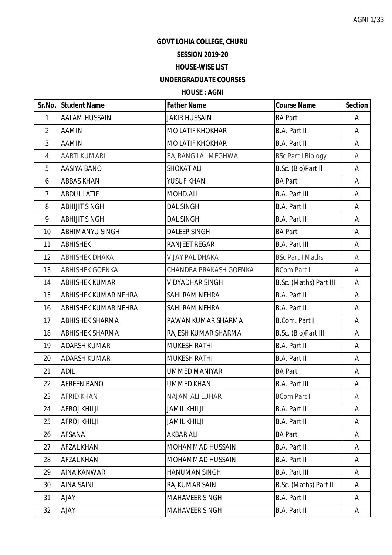AGNI 1/33

## **GOVT LOHIA COLLEGE, CHURU**

## **SESSION 2019-20**

#### **HOUSE-WISE LIST**

# **UNDERGRADUATE COURSES**

### **HOUSE : AGNI**

|                | Sr.No. Student Name         | <b>Father Name</b>         | <b>Course Name</b>        | <b>Section</b> |
|----------------|-----------------------------|----------------------------|---------------------------|----------------|
| $\mathbf{1}$   | <b>AALAM HUSSAIN</b>        | <b>JAKIR HUSSAIN</b>       | <b>BA Part I</b>          | Α              |
| $\overline{2}$ | <b>AAMIN</b>                | <b>MO LATIF KHOKHAR</b>    | <b>B.A. Part II</b>       | A              |
| 3              | AAMIN                       | MO LATIF KHOKHAR           | B.A. Part II              | A              |
| 4              | <b>AARTI KUMARI</b>         | <b>BAJRANG LAL MEGHWAL</b> | <b>BSc Part I Biology</b> | A              |
| 5              | <b>AASIYA BANO</b>          | <b>SHOKAT ALI</b>          | B.Sc. (Bio)Part II        | A              |
| 6              | <b>ABBAS KHAN</b>           | YUSUF KHAN                 | <b>BA Part I</b>          | Α              |
| $\overline{7}$ | <b>ABDUL LATIF</b>          | MOHD.ALI                   | <b>B.A. Part III</b>      | A              |
| 8              | <b>ABHIJIT SINGH</b>        | <b>DAL SINGH</b>           | B.A. Part II              | A              |
| 9              | <b>ABHIJIT SINGH</b>        | <b>DAL SINGH</b>           | B.A. Part II              | A              |
| 10             | <b>ABHIMANYU SINGH</b>      | <b>DALEEP SINGH</b>        | <b>BA Part I</b>          | A              |
| 11             | <b>ABHISHEK</b>             | <b>RANJEET REGAR</b>       | <b>B.A. Part III</b>      | Α              |
| 12             | <b>ABHISHEK DHAKA</b>       | <b>VIJAY PAL DHAKA</b>     | <b>BSc Part I Maths</b>   | A              |
| 13             | <b>ABHISHEK GOENKA</b>      | CHANDRA PRAKASH GOENKA     | <b>BCom Part I</b>        | A              |
| 14             | <b>ABHISHEK KUMAR</b>       | <b>VIDYADHAR SINGH</b>     | B.Sc. (Maths) Part III    | A              |
| 15             | <b>ABHISHEK KUMAR NEHRA</b> | SAHI RAM NEHRA             | <b>B.A. Part II</b>       | A              |
| 16             | <b>ABHISHEK KUMAR NEHRA</b> | SAHI RAM NEHRA             | B.A. Part II              | Α              |
| 17             | <b>ABHISHEK SHARMA</b>      | PAWAN KUMAR SHARMA         | <b>B.Com. Part III</b>    | A              |
| 18             | <b>ABHISHEK SHARMA</b>      | RAJESH KUMAR SHARMA        | B.Sc. (Bio)Part III       | A              |
| 19             | <b>ADARSH KUMAR</b>         | <b>MUKESH RATHI</b>        | <b>B.A. Part II</b>       | A              |
| 20             | <b>ADARSH KUMAR</b>         | <b>MUKESH RATHI</b>        | B.A. Part II              | A              |
| 21             | <b>ADIL</b>                 | <b>UMMED MANIYAR</b>       | <b>BA Part I</b>          | Α              |
| 22             | <b>AFREEN BANO</b>          | <b>UMMED KHAN</b>          | <b>B.A. Part III</b>      | А              |
| 23             | <b>AFRID KHAN</b>           | NAJAM ALI LUHAR            | <b>BCom Part I</b>        | A              |
| 24             | <b>AFROJ KHILJI</b>         | <b>JAMIL KHILJI</b>        | <b>B.A. Part II</b>       | A              |
| 25             | <b>AFROJ KHILJI</b>         | <b>JAMIL KHILJI</b>        | B.A. Part II              | A              |
| 26             | AFSANA                      | <b>AKBAR ALI</b>           | <b>BA Part I</b>          | A              |
| 27             | AFZAL KHAN                  | MOHAMMAD HUSSAIN           | B.A. Part II              | A              |
| 28             | <b>AFZAL KHAN</b>           | MOHAMMAD HUSSAIN           | B.A. Part II              | A              |
| 29             | <b>AINA KANWAR</b>          | <b>HANUMAN SINGH</b>       | <b>B.A. Part III</b>      | A              |
| 30             | <b>AINA SAINI</b>           | RAJKUMAR SAINI             | B.Sc. (Maths) Part II     | A              |
| 31             | <b>AJAY</b>                 | <b>MAHAVEER SINGH</b>      | B.A. Part II              | A              |
| 32             | <b>AJAY</b>                 | MAHAVEER SINGH             | B.A. Part II              | A              |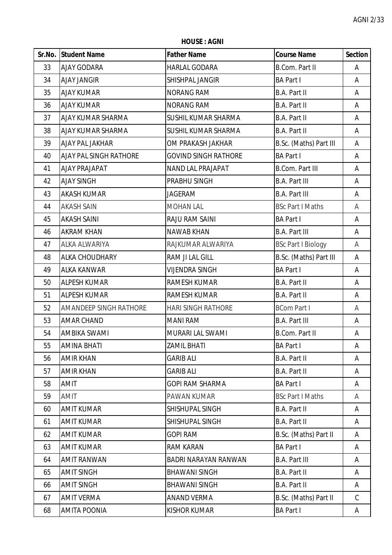**HOUSE : AGNI**

|    | Sr.No. Student Name           | <b>Father Name</b>          | <b>Course Name</b>        | <b>Section</b> |
|----|-------------------------------|-----------------------------|---------------------------|----------------|
| 33 | <b>AJAY GODARA</b>            | <b>HARLAL GODARA</b>        | <b>B.Com. Part II</b>     | A              |
| 34 | <b>AJAY JANGIR</b>            | SHISHPAL JANGIR             | <b>BA Part I</b>          | A              |
| 35 | <b>AJAY KUMAR</b>             | <b>NORANG RAM</b>           | B.A. Part II              | A              |
| 36 | <b>AJAY KUMAR</b>             | <b>NORANG RAM</b>           | B.A. Part II              | A              |
| 37 | <b>AJAY KUMAR SHARMA</b>      | SUSHIL KUMAR SHARMA         | B.A. Part II              | A              |
| 38 | <b>AJAY KUMAR SHARMA</b>      | SUSHIL KUMAR SHARMA         | B.A. Part II              | A              |
| 39 | <b>AJAY PAL JAKHAR</b>        | OM PRAKASH JAKHAR           | B.Sc. (Maths) Part III    | A              |
| 40 | <b>AJAY PAL SINGH RATHORE</b> | <b>GOVIND SINGH RATHORE</b> | <b>BA Part I</b>          | A              |
| 41 | <b>AJAY PRAJAPAT</b>          | <b>NAND LAL PRAJAPAT</b>    | <b>B.Com. Part III</b>    | Α              |
| 42 | <b>AJAY SINGH</b>             | PRABHU SINGH                | <b>B.A. Part III</b>      | Α              |
| 43 | <b>AKASH KUMAR</b>            | <b>JAGERAM</b>              | <b>B.A. Part III</b>      | A              |
| 44 | <b>AKASH SAIN</b>             | <b>MOHAN LAL</b>            | <b>BSc Part I Maths</b>   | A              |
| 45 | <b>AKASH SAINI</b>            | RAJU RAM SAINI              | <b>BA Part I</b>          | A              |
| 46 | <b>AKRAM KHAN</b>             | <b>NAWAB KHAN</b>           | <b>B.A. Part III</b>      | Α              |
| 47 | <b>ALKA ALWARIYA</b>          | RAJKUMAR ALWARIYA           | <b>BSc Part I Biology</b> | A              |
| 48 | <b>ALKA CHOUDHARY</b>         | RAM JI LAL GILL             | B.Sc. (Maths) Part III    | A              |
| 49 | <b>ALKA KANWAR</b>            | <b>VIJENDRA SINGH</b>       | <b>BA Part I</b>          | A              |
| 50 | <b>ALPESH KUMAR</b>           | RAMESH KUMAR                | B.A. Part II              | A              |
| 51 | <b>ALPESH KUMAR</b>           | RAMESH KUMAR                | B.A. Part II              | Α              |
| 52 | <b>AMANDEEP SINGH RATHORE</b> | <b>HARI SINGH RATHORE</b>   | <b>BCom Part I</b>        | A              |
| 53 | <b>AMAR CHAND</b>             | <b>MANI RAM</b>             | <b>B.A. Part III</b>      | A              |
| 54 | AMBIKA SWAMI                  | MURARI LAL SWAMI            | <b>B.Com. Part II</b>     | Α              |
| 55 | <b>AMINA BHATI</b>            | <b>ZAMIL BHATI</b>          | <b>BA Part I</b>          | A              |
| 56 | <b>AMIR KHAN</b>              | <b>GARIB ALI</b>            | B.A. Part II              | A              |
| 57 | <b>AMIR KHAN</b>              | <b>GARIB ALI</b>            | B.A. Part II              | A              |
| 58 | <b>AMIT</b>                   | <b>GOPI RAM SHARMA</b>      | <b>BA Part I</b>          | A              |
| 59 | AMIT                          | PAWAN KUMAR                 | <b>BSc Part I Maths</b>   | A              |
| 60 | <b>AMIT KUMAR</b>             | SHISHUPAL SINGH             | B.A. Part II              | A              |
| 61 | <b>AMIT KUMAR</b>             | SHISHUPAL SINGH             | B.A. Part II              | A              |
| 62 | <b>AMIT KUMAR</b>             | <b>GOPI RAM</b>             | B.Sc. (Maths) Part II     | A              |
| 63 | <b>AMIT KUMAR</b>             | <b>RAM KARAN</b>            | <b>BA Part I</b>          | A              |
| 64 | <b>AMIT RANWAN</b>            | BADRI NARAYAN RANWAN        | <b>B.A. Part III</b>      | A              |
| 65 | <b>AMIT SINGH</b>             | <b>BHAWANI SINGH</b>        | B.A. Part II              | A              |
| 66 | <b>AMIT SINGH</b>             | <b>BHAWANI SINGH</b>        | B.A. Part II              | A              |
| 67 | <b>AMIT VERMA</b>             | <b>ANAND VERMA</b>          | B.Sc. (Maths) Part II     | $\mathcal{C}$  |
| 68 | AMITA POONIA                  | <b>KISHOR KUMAR</b>         | <b>BA Part I</b>          | A              |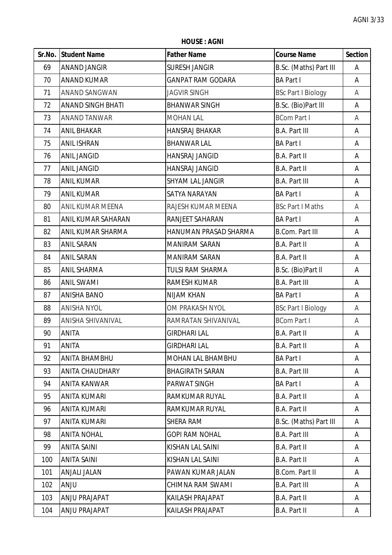**HOUSE : AGNI**

|     | Sr.No. Student Name      | <b>Father Name</b>       | <b>Course Name</b>        | <b>Section</b> |
|-----|--------------------------|--------------------------|---------------------------|----------------|
| 69  | <b>ANAND JANGIR</b>      | <b>SURESH JANGIR</b>     | B.Sc. (Maths) Part III    | A              |
| 70  | <b>ANAND KUMAR</b>       | <b>GANPAT RAM GODARA</b> | <b>BA Part I</b>          | A              |
| 71  | <b>ANAND SANGWAN</b>     | <b>JAGVIR SINGH</b>      | <b>BSc Part I Biology</b> | Α              |
| 72  | <b>ANAND SINGH BHATI</b> | <b>BHANWAR SINGH</b>     | B.Sc. (Bio)Part III       | Α              |
| 73  | ANAND TANWAR             | <b>MOHAN LAL</b>         | <b>BCom Part I</b>        | Α              |
| 74  | <b>ANIL BHAKAR</b>       | <b>HANSRAJ BHAKAR</b>    | <b>B.A. Part III</b>      | Α              |
| 75  | <b>ANIL ISHRAN</b>       | <b>BHANWAR LAL</b>       | <b>BA Part I</b>          | A              |
| 76  | <b>ANIL JANGID</b>       | HANSRAJ JANGID           | B.A. Part II              | Α              |
| 77  | <b>ANIL JANGID</b>       | HANSRAJ JANGID           | <b>B.A. Part II</b>       | Α              |
| 78  | <b>ANIL KUMAR</b>        | SHYAM LAL JANGIR         | <b>B.A. Part III</b>      | Α              |
| 79  | <b>ANIL KUMAR</b>        | SATYA NARAYAN            | <b>BA Part I</b>          | A              |
| 80  | ANIL KUMAR MEENA         | RAJESH KUMAR MEENA       | <b>BSc Part I Maths</b>   | A              |
| 81  | ANIL KUMAR SAHARAN       | RANJEET SAHARAN          | <b>BA Part I</b>          | A              |
| 82  | ANIL KUMAR SHARMA        | HANUMAN PRASAD SHARMA    | <b>B.Com. Part III</b>    | Α              |
| 83  | <b>ANIL SARAN</b>        | <b>MANIRAM SARAN</b>     | <b>B.A. Part II</b>       | A              |
| 84  | <b>ANIL SARAN</b>        | <b>MANIRAM SARAN</b>     | <b>B.A. Part II</b>       | A              |
| 85  | <b>ANIL SHARMA</b>       | <b>TULSI RAM SHARMA</b>  | B.Sc. (Bio)Part II        | A              |
| 86  | <b>ANIL SWAMI</b>        | RAMESH KUMAR             | <b>B.A. Part III</b>      | Α              |
| 87  | <b>ANISHA BANO</b>       | NIJAM KHAN               | <b>BA Part I</b>          | Α              |
| 88  | <b>ANISHA NYOL</b>       | OM PRAKASH NYOL          | <b>BSc Part I Biology</b> | A              |
| 89  | ANISHA SHIVANIVAL        | RAMRATAN SHIVANIVAL      | <b>BCom Part I</b>        | A              |
| 90  | <b>ANITA</b>             | <b>GIRDHARI LAL</b>      | <b>B.A. Part II</b>       | Α              |
| 91  | <b>ANITA</b>             | <b>GIRDHARI LAL</b>      | <b>B.A. Part II</b>       | A              |
| 92  | <b>ANITA BHAMBHU</b>     | MOHAN LAL BHAMBHU        | <b>BA Part I</b>          | A              |
| 93  | <b>ANITA CHAUDHARY</b>   | <b>BHAGIRATH SARAN</b>   | <b>B.A. Part III</b>      | A              |
| 94  | <b>ANITA KANWAR</b>      | PARWAT SINGH             | <b>BA Part I</b>          | A              |
| 95  | ANITA KUMARI             | RAMKUMAR RUYAL           | <b>B.A. Part II</b>       | A              |
| 96  | <b>ANITA KUMARI</b>      | RAMKUMAR RUYAL           | <b>B.A. Part II</b>       | A              |
| 97  | <b>ANITA KUMARI</b>      | SHERA RAM                | B.Sc. (Maths) Part III    | A              |
| 98  | <b>ANITA NOHAL</b>       | <b>GOPI RAM NOHAL</b>    | <b>B.A. Part III</b>      | A              |
| 99  | <b>ANITA SAINI</b>       | KISHAN LAL SAINI         | <b>B.A. Part II</b>       | A              |
| 100 | <b>ANITA SAINI</b>       | KISHAN LAL SAINI         | <b>B.A. Part II</b>       | A              |
| 101 | <b>ANJALI JALAN</b>      | PAWAN KUMAR JALAN        | <b>B.Com. Part II</b>     | A              |
| 102 | <b>ANJU</b>              | CHIMNA RAM SWAMI         | <b>B.A. Part III</b>      | A              |
| 103 | ANJU PRAJAPAT            | KAILASH PRAJAPAT         | <b>B.A. Part II</b>       | A              |
| 104 | ANJU PRAJAPAT            | KAILASH PRAJAPAT         | <b>B.A. Part II</b>       | A              |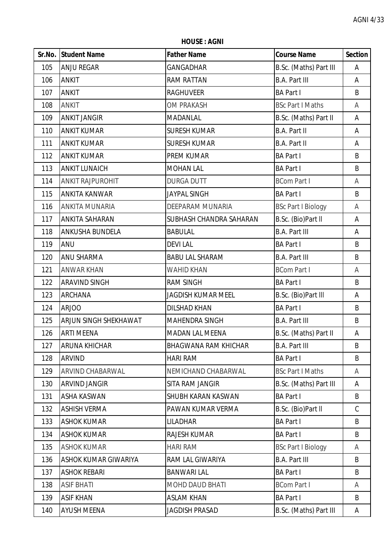**HOUSE : AGNI**

|     | Sr.No. Student Name          | <b>Father Name</b>          | <b>Course Name</b>        | <b>Section</b> |
|-----|------------------------------|-----------------------------|---------------------------|----------------|
| 105 | <b>ANJU REGAR</b>            | <b>GANGADHAR</b>            | B.Sc. (Maths) Part III    | Α              |
| 106 | <b>ANKIT</b>                 | <b>RAM RATTAN</b>           | <b>B.A. Part III</b>      | A              |
| 107 | <b>ANKIT</b>                 | <b>RAGHUVEER</b>            | <b>BA Part I</b>          | B              |
| 108 | <b>ANKIT</b>                 | <b>OM PRAKASH</b>           | <b>BSc Part I Maths</b>   | A              |
| 109 | <b>ANKIT JANGIR</b>          | <b>MADANLAL</b>             | B.Sc. (Maths) Part II     | Α              |
| 110 | <b>ANKIT KUMAR</b>           | <b>SURESH KUMAR</b>         | <b>B.A. Part II</b>       | Α              |
| 111 | <b>ANKIT KUMAR</b>           | <b>SURESH KUMAR</b>         | <b>B.A. Part II</b>       | Α              |
| 112 | <b>ANKIT KUMAR</b>           | PREM KUMAR                  | <b>BA Part I</b>          | B              |
| 113 | <b>ANKIT LUNAICH</b>         | <b>MOHAN LAL</b>            | <b>BA Part I</b>          | B              |
| 114 | <b>ANKIT RAJPUROHIT</b>      | <b>DURGA DUTT</b>           | <b>BCom Part I</b>        | A              |
| 115 | <b>ANKITA KANWAR</b>         | JAYPAL SINGH                | <b>BA Part I</b>          | B              |
| 116 | <b>ANKITA MUNARIA</b>        | DEEPARAM MUNARIA            | <b>BSc Part I Biology</b> | A              |
| 117 | <b>ANKITA SAHARAN</b>        | SUBHASH CHANDRA SAHARAN     | B.Sc. (Bio)Part II        | A              |
| 118 | <b>ANKUSHA BUNDELA</b>       | <b>BABULAL</b>              | <b>B.A. Part III</b>      | A              |
| 119 | <b>ANU</b>                   | <b>DEVILAL</b>              | <b>BA Part I</b>          | B              |
| 120 | <b>ANU SHARMA</b>            | <b>BABU LAL SHARAM</b>      | <b>B.A. Part III</b>      | B              |
| 121 | <b>ANWAR KHAN</b>            | <b>WAHID KHAN</b>           | <b>BCom Part I</b>        | A              |
| 122 | <b>ARAVIND SINGH</b>         | <b>RAM SINGH</b>            | <b>BA Part I</b>          | B              |
| 123 | <b>ARCHANA</b>               | <b>JAGDISH KUMAR MEEL</b>   | B.Sc. (Bio)Part III       | Α              |
| 124 | <b>ARJOO</b>                 | <b>DILSHAD KHAN</b>         | <b>BA Part I</b>          | B              |
| 125 | <b>ARJUN SINGH SHEKHAWAT</b> | MAHENDRA SINGH              | <b>B.A. Part III</b>      | B              |
| 126 | <b>ARTI MEENA</b>            | MADAN LAL MEENA             | B.Sc. (Maths) Part II     | А              |
| 127 | <b>ARUNA KHICHAR</b>         | <b>BHAGWANA RAM KHICHAR</b> | <b>B.A. Part III</b>      | B              |
| 128 | <b>ARVIND</b>                | <b>HARI RAM</b>             | <b>BA Part I</b>          | B              |
| 129 | ARVIND CHABARWAL             | NEMICHAND CHABARWAL         | <b>BSc Part I Maths</b>   | A              |
| 130 | <b>ARVIND JANGIR</b>         | SITA RAM JANGIR             | B.Sc. (Maths) Part III    | A              |
| 131 | <b>ASHA KASWAN</b>           | SHUBH KARAN KASWAN          | <b>BA Part I</b>          | B              |
| 132 | <b>ASHISH VERMA</b>          | PAWAN KUMAR VERMA           | B.Sc. (Bio)Part II        | C              |
| 133 | <b>ASHOK KUMAR</b>           | <b>LILADHAR</b>             | <b>BA Part I</b>          | B              |
| 134 | <b>ASHOK KUMAR</b>           | RAJESH KUMAR                | <b>BA Part I</b>          | B              |
| 135 | <b>ASHOK KUMAR</b>           | <b>HARI RAM</b>             | <b>BSc Part I Biology</b> | A              |
| 136 | <b>ASHOK KUMAR GIWARIYA</b>  | RAM LAL GIWARIYA            | <b>B.A. Part III</b>      | B              |
| 137 | <b>ASHOK REBARI</b>          | <b>BANWARI LAL</b>          | <b>BA Part I</b>          | B              |
| 138 | <b>ASIF BHATI</b>            | MOHD DAUD BHATI             | <b>BCom Part I</b>        | A              |
| 139 | <b>ASIF KHAN</b>             | <b>ASLAM KHAN</b>           | <b>BA Part I</b>          | B              |
| 140 | <b>AYUSH MEENA</b>           | <b>JAGDISH PRASAD</b>       | B.Sc. (Maths) Part III    | A              |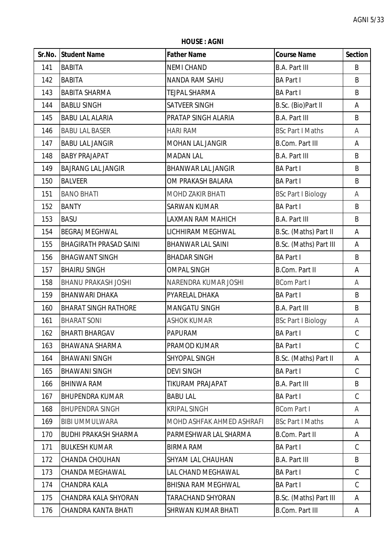**HOUSE : AGNI**

|     | Sr.No. Student Name           | <b>Father Name</b>        | <b>Course Name</b>        | <b>Section</b> |
|-----|-------------------------------|---------------------------|---------------------------|----------------|
| 141 | <b>BABITA</b>                 | <b>NEMI CHAND</b>         | <b>B.A. Part III</b>      | B              |
| 142 | <b>BABITA</b>                 | <b>NANDA RAM SAHU</b>     | <b>BA Part I</b>          | B              |
| 143 | <b>BABITA SHARMA</b>          | <b>TEJPAL SHARMA</b>      | <b>BA Part I</b>          | B              |
| 144 | <b>BABLU SINGH</b>            | SATVEER SINGH             | B.Sc. (Bio)Part II        | A              |
| 145 | <b>BABU LAL ALARIA</b>        | PRATAP SINGH ALARIA       | <b>B.A. Part III</b>      | B              |
| 146 | <b>BABU LAL BASER</b>         | <b>HARI RAM</b>           | <b>BSc Part I Maths</b>   | Α              |
| 147 | <b>BABU LAL JANGIR</b>        | <b>MOHAN LAL JANGIR</b>   | <b>B.Com. Part III</b>    | A              |
| 148 | <b>BABY PRAJAPAT</b>          | <b>MADAN LAL</b>          | <b>B.A. Part III</b>      | B              |
| 149 | <b>BAJRANG LAL JANGIR</b>     | <b>BHANWAR LAL JANGIR</b> | <b>BA Part I</b>          | B              |
| 150 | <b>BALVEER</b>                | OM PRAKASH BALARA         | <b>BA Part I</b>          | B              |
| 151 | <b>BANO BHATI</b>             | <b>MOHD ZAKIR BHATI</b>   | <b>BSc Part I Biology</b> | Α              |
| 152 | <b>BANTY</b>                  | <b>SARWAN KUMAR</b>       | <b>BA Part I</b>          | B              |
| 153 | <b>BASU</b>                   | LAXMAN RAM MAHICH         | <b>B.A. Part III</b>      | B              |
| 154 | <b>BEGRAJ MEGHWAL</b>         | LICHHIRAM MEGHWAL         | B.Sc. (Maths) Part II     | A              |
| 155 | <b>BHAGIRATH PRASAD SAINI</b> | <b>BHANWAR LAL SAINI</b>  | B.Sc. (Maths) Part III    | A              |
| 156 | <b>BHAGWANT SINGH</b>         | <b>BHADAR SINGH</b>       | <b>BA Part I</b>          | B              |
| 157 | <b>BHAIRU SINGH</b>           | <b>OMPAL SINGH</b>        | <b>B.Com. Part II</b>     | Α              |
| 158 | <b>BHANU PRAKASH JOSHI</b>    | NARENDRA KUMAR JOSHI      | <b>BCom Part I</b>        | A              |
| 159 | <b>BHANWARI DHAKA</b>         | PYARELAL DHAKA            | <b>BA Part I</b>          | B              |
| 160 | <b>BHARAT SINGH RATHORE</b>   | <b>MANGATU SINGH</b>      | <b>B.A. Part III</b>      | B              |
| 161 | <b>BHARAT SONI</b>            | <b>ASHOK KUMAR</b>        | <b>BSc Part I Biology</b> | A              |
| 162 | <b>BHARTI BHARGAV</b>         | <b>PAPURAM</b>            | <b>BA Part I</b>          | $\mathsf C$    |
| 163 | <b>BHAWANA SHARMA</b>         | PRAMOD KUMAR              | <b>BA Part I</b>          | C              |
| 164 | <b>BHAWANI SINGH</b>          | SHYOPAL SINGH             | B.Sc. (Maths) Part II     | A              |
| 165 | <b>BHAWANI SINGH</b>          | <b>DEVI SINGH</b>         | <b>BA Part I</b>          | $\mathsf C$    |
| 166 | <b>BHINWA RAM</b>             | <b>TIKURAM PRAJAPAT</b>   | <b>B.A. Part III</b>      | B              |
| 167 | <b>BHUPENDRA KUMAR</b>        | <b>BABU LAL</b>           | <b>BA Part I</b>          | C              |
| 168 | <b>BHUPENDRA SINGH</b>        | <b>KRIPAL SINGH</b>       | <b>BCom Part I</b>        | A              |
| 169 | <b>BIBI UMMULWARA</b>         | MOHD ASHFAK AHMED ASHRAFI | <b>BSc Part I Maths</b>   | A              |
| 170 | <b>BUDHI PRAKASH SHARMA</b>   | PARMESHWAR LAL SHARMA     | <b>B.Com. Part II</b>     | Α              |
| 171 | <b>BULKESH KUMAR</b>          | <b>BIRMA RAM</b>          | <b>BA Part I</b>          | $\mathsf C$    |
| 172 | CHANDA CHOUHAN                | SHYAM LAL CHAUHAN         | <b>B.A. Part III</b>      | B              |
| 173 | CHANDA MEGHAWAL               | LAL CHAND MEGHAWAL        | <b>BA Part I</b>          | C              |
| 174 | CHANDRA KALA                  | <b>BHISNA RAM MEGHWAL</b> | <b>BA Part I</b>          | C              |
| 175 | CHANDRA KALA SHYORAN          | TARACHAND SHYORAN         | B.Sc. (Maths) Part III    | A              |
| 176 | CHANDRA KANTA BHATI           | SHRWAN KUMAR BHATI        | <b>B.Com. Part III</b>    | A              |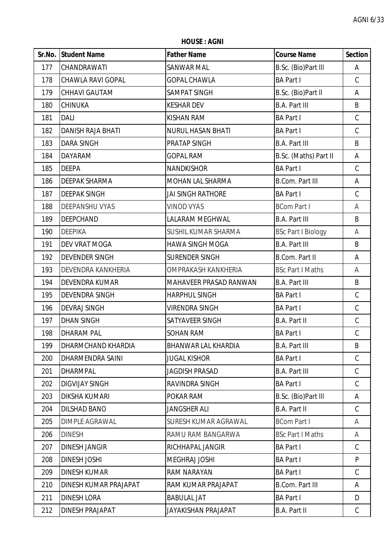**HOUSE : AGNI**

|     | Sr.No. Student Name      | <b>Father Name</b>          | <b>Course Name</b>        | <b>Section</b> |
|-----|--------------------------|-----------------------------|---------------------------|----------------|
| 177 | CHANDRAWATI              | <b>SANWAR MAL</b>           | B.Sc. (Bio)Part III       | A              |
| 178 | <b>CHAWLA RAVI GOPAL</b> | <b>GOPAL CHAWLA</b>         | <b>BA Part I</b>          | $\mathsf C$    |
| 179 | CHHAVI GAUTAM            | <b>SAMPAT SINGH</b>         | B.Sc. (Bio)Part II        | A              |
| 180 | CHINUKA                  | <b>KESHAR DEV</b>           | <b>B.A. Part III</b>      | B              |
| 181 | <b>DALI</b>              | KISHAN RAM                  | <b>BA Part I</b>          | $\mathsf C$    |
| 182 | <b>DANISH RAJA BHATI</b> | <b>NURUL HASAN BHATI</b>    | <b>BA Part I</b>          | $\mathsf C$    |
| 183 | <b>DARA SINGH</b>        | PRATAP SINGH                | <b>B.A. Part III</b>      | B              |
| 184 | DAYARAM                  | <b>GOPAL RAM</b>            | B.Sc. (Maths) Part II     | A              |
| 185 | <b>DEEPA</b>             | <b>NANDKISHOR</b>           | <b>BA Part I</b>          | $\mathsf C$    |
| 186 | <b>DEEPAK SHARMA</b>     | MOHAN LAL SHARMA            | <b>B.Com. Part III</b>    | A              |
| 187 | <b>DEEPAK SINGH</b>      | JAI SINGH RATHORE           | <b>BA Part I</b>          | $\mathsf C$    |
| 188 | <b>DEEPANSHU VYAS</b>    | <b>VINOD VYAS</b>           | <b>BCom Part I</b>        | A              |
| 189 | <b>DEEPCHAND</b>         | LALARAM MEGHWAL             | <b>B.A. Part III</b>      | B              |
| 190 | <b>DEEPIKA</b>           | SUSHIL KUMAR SHARMA         | <b>BSc Part I Biology</b> | Α              |
| 191 | DEV VRAT MOGA            | <b>HAWA SINGH MOGA</b>      | <b>B.A. Part III</b>      | B              |
| 192 | <b>DEVENDER SINGH</b>    | SURENDER SINGH              | <b>B.Com. Part II</b>     | A              |
| 193 | DEVENDRA KANKHERIA       | OMPRAKASH KANKHERIA         | <b>BSc Part I Maths</b>   | A              |
| 194 | <b>DEVENDRA KUMAR</b>    | MAHAVEER PRASAD RANWAN      | <b>B.A. Part III</b>      | B              |
| 195 | <b>DEVENDRA SINGH</b>    | <b>HARPHUL SINGH</b>        | <b>BA Part I</b>          | $\mathsf C$    |
| 196 | <b>DEVRAJ SINGH</b>      | <b>VIRENDRA SINGH</b>       | <b>BA Part I</b>          | $\mathsf C$    |
| 197 | <b>DHAN SINGH</b>        | SATYAVEER SINGH             | <b>B.A. Part II</b>       | $\mathsf C$    |
| 198 | <b>DHARAM PAL</b>        | <b>SOHAN RAM</b>            | <b>BA Part I</b>          | $\mathsf C$    |
| 199 | DHARMCHAND KHARDIA       | BHANWAR LAL KHARDIA         | <b>B.A. Part III</b>      | B              |
| 200 | DHARMENDRA SAINI         | <b>JUGAL KISHOR</b>         | <b>BA Part I</b>          | $\mathsf C$    |
| 201 | <b>DHARMPAL</b>          | <b>JAGDISH PRASAD</b>       | <b>B.A. Part III</b>      | $\mathsf C$    |
| 202 | <b>DIGVIJAY SINGH</b>    | RAVINDRA SINGH              | <b>BA Part I</b>          | $\mathsf{C}$   |
| 203 | <b>DIKSHA KUMARI</b>     | POKAR RAM                   | B.Sc. (Bio)Part III       | A              |
| 204 | DILSHAD BANO             | <b>JANGSHER ALI</b>         | <b>B.A. Part II</b>       | C              |
| 205 | <b>DIMPLE AGRAWAL</b>    | <b>SURESH KUMAR AGRAWAL</b> | <b>BCom Part I</b>        | A              |
| 206 | <b>DINESH</b>            | RAMU RAM BANGARWA           | <b>BSc Part I Maths</b>   | A              |
| 207 | <b>DINESH JANGIR</b>     | RICHHAPAL JANGIR            | <b>BA Part I</b>          | $\mathsf{C}$   |
| 208 | <b>DINESH JOSHI</b>      | <b>MEGHRAJ JOSHI</b>        | <b>BA Part I</b>          | P              |
| 209 | <b>DINESH KUMAR</b>      | RAM NARAYAN                 | <b>BA Part I</b>          | C              |
| 210 | DINESH KUMAR PRAJAPAT    | RAM KUMAR PRAJAPAT          | <b>B.Com. Part III</b>    | A              |
| 211 | <b>DINESH LORA</b>       | <b>BABULAL JAT</b>          | <b>BA Part I</b>          | D              |
| 212 | DINESH PRAJAPAT          | JAYAKISHAN PRAJAPAT         | <b>B.A. Part II</b>       | $\mathsf{C}$   |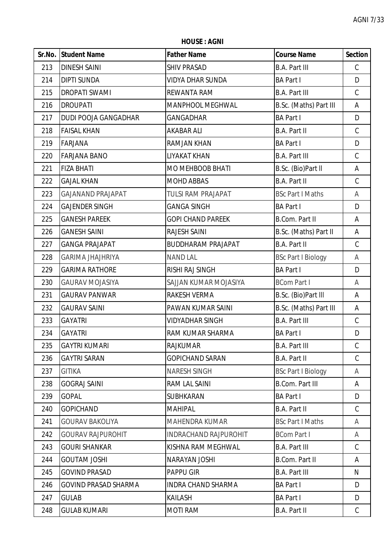**HOUSE : AGNI**

| Sr.No. | <b>Student Name</b>         | <b>Father Name</b>           | <b>Course Name</b>        | <b>Section</b> |
|--------|-----------------------------|------------------------------|---------------------------|----------------|
| 213    | <b>DINESH SAINI</b>         | <b>SHIV PRASAD</b>           | <b>B.A. Part III</b>      | C              |
| 214    | <b>DIPTI SUNDA</b>          | VIDYA DHAR SUNDA             | <b>BA Part I</b>          | D              |
| 215    | <b>DROPATI SWAMI</b>        | REWANTA RAM                  | <b>B.A. Part III</b>      | $\mathsf C$    |
| 216    | <b>DROUPATI</b>             | MANPHOOL MEGHWAL             | B.Sc. (Maths) Part III    | A              |
| 217    | DUDI POOJA GANGADHAR        | <b>GANGADHAR</b>             | <b>BA Part I</b>          | D              |
| 218    | <b>FAISAL KHAN</b>          | <b>AKABAR ALI</b>            | <b>B.A. Part II</b>       | $\mathsf C$    |
| 219    | <b>FARJANA</b>              | RAMJAN KHAN                  | <b>BA Part I</b>          | D              |
| 220    | <b>FARJANA BANO</b>         | LIYAKAT KHAN                 | <b>B.A. Part III</b>      | $\mathsf C$    |
| 221    | <b>FIZA BHATI</b>           | MO MEHBOOB BHATI             | B.Sc. (Bio)Part II        | Α              |
| 222    | <b>GAJAL KHAN</b>           | <b>MOHD ABBAS</b>            | <b>B.A. Part II</b>       | $\mathsf C$    |
| 223    | <b>GAJANAND PRAJAPAT</b>    | <b>TULSI RAM PRAJAPAT</b>    | <b>BSc Part I Maths</b>   | A              |
| 224    | <b>GAJENDER SINGH</b>       | <b>GANGA SINGH</b>           | <b>BA Part I</b>          | D              |
| 225    | <b>GANESH PAREEK</b>        | <b>GOPI CHAND PAREEK</b>     | <b>B.Com. Part II</b>     | A              |
| 226    | <b>GANESH SAINI</b>         | <b>RAJESH SAINI</b>          | B.Sc. (Maths) Part II     | Α              |
| 227    | <b>GANGA PRAJAPAT</b>       | <b>BUDDHARAM PRAJAPAT</b>    | <b>B.A. Part II</b>       | $\mathsf C$    |
| 228    | <b>GARIMA JHAJHRIYA</b>     | <b>NAND LAL</b>              | <b>BSc Part I Biology</b> | A              |
| 229    | <b>GARIMA RATHORE</b>       | RISHI RAJ SINGH              | <b>BA Part I</b>          | D              |
| 230    | <b>GAURAV MOJASIYA</b>      | SAJJAN KUMAR MOJASIYA        | <b>BCom Part I</b>        | A              |
| 231    | <b>GAURAV PANWAR</b>        | RAKESH VERMA                 | B.Sc. (Bio)Part III       | Α              |
| 232    | <b>GAURAV SAINI</b>         | PAWAN KUMAR SAINI            | B.Sc. (Maths) Part III    | A              |
| 233    | <b>GAYATRI</b>              | <b>VIDYADHAR SINGH</b>       | <b>B.A. Part III</b>      | C              |
| 234    | <b>GAYATRI</b>              | RAM KUMAR SHARMA             | <b>BA Part I</b>          | D              |
| 235    | <b>GAYTRI KUMARI</b>        | <b>RAJKUMAR</b>              | <b>B.A. Part III</b>      | C              |
| 236    | <b>GAYTRI SARAN</b>         | <b>GOPICHAND SARAN</b>       | <b>B.A. Part II</b>       | $\mathsf C$    |
| 237    | <b>GITIKA</b>               | <b>NARESH SINGH</b>          | <b>BSc Part I Biology</b> | A              |
| 238    | <b>GOGRAJ SAINI</b>         | RAM LAL SAINI                | <b>B.Com. Part III</b>    | A              |
| 239    | <b>GOPAL</b>                | <b>SUBHKARAN</b>             | <b>BA Part I</b>          | D              |
| 240    | <b>GOPICHAND</b>            | <b>MAHIPAL</b>               | <b>B.A. Part II</b>       | $\mathcal{C}$  |
| 241    | <b>GOURAV BAKOLIYA</b>      | MAHENDRA KUMAR               | <b>BSc Part I Maths</b>   | A              |
| 242    | <b>GOURAV RAJPUROHIT</b>    | <b>INDRACHAND RAJPUROHIT</b> | <b>BCom Part I</b>        | A              |
| 243    | <b>GOURI SHANKAR</b>        | KISHNA RAM MEGHWAL           | <b>B.A. Part III</b>      | C              |
| 244    | <b>GOUTAM JOSHI</b>         | NARAYAN JOSHI                | <b>B.Com. Part II</b>     | A              |
| 245    | <b>GOVIND PRASAD</b>        | <b>PAPPU GIR</b>             | <b>B.A. Part III</b>      | N              |
| 246    | <b>GOVIND PRASAD SHARMA</b> | <b>INDRA CHAND SHARMA</b>    | <b>BA Part I</b>          | D              |
| 247    | <b>GULAB</b>                | <b>KAILASH</b>               | <b>BA Part I</b>          | D              |
| 248    | <b>GULAB KUMARI</b>         | <b>MOTI RAM</b>              | <b>B.A. Part II</b>       | $\mathsf{C}$   |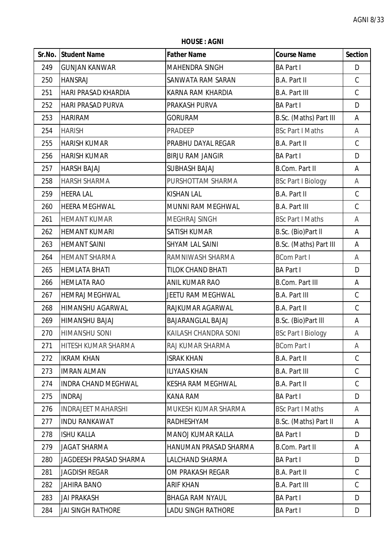**HOUSE : AGNI**

|     | Sr.No. Student Name        | <b>Father Name</b>       | <b>Course Name</b>        | <b>Section</b> |
|-----|----------------------------|--------------------------|---------------------------|----------------|
| 249 | <b>GUNJAN KANWAR</b>       | MAHENDRA SINGH           | <b>BA Part I</b>          | D              |
| 250 | <b>HANSRAJ</b>             | SANWATA RAM SARAN        | <b>B.A. Part II</b>       | $\mathsf C$    |
| 251 | <b>HARI PRASAD KHARDIA</b> | KARNA RAM KHARDIA        | <b>B.A. Part III</b>      | C              |
| 252 | <b>HARI PRASAD PURVA</b>   | PRAKASH PURVA            | <b>BA Part I</b>          | D              |
| 253 | <b>HARIRAM</b>             | <b>GORURAM</b>           | B.Sc. (Maths) Part III    | A              |
| 254 | <b>HARISH</b>              | PRADEEP                  | <b>BSc Part I Maths</b>   | A              |
| 255 | <b>HARISH KUMAR</b>        | PRABHU DAYAL REGAR       | <b>B.A. Part II</b>       | $\mathsf C$    |
| 256 | <b>HARISH KUMAR</b>        | <b>BIRJU RAM JANGIR</b>  | <b>BA Part I</b>          | D              |
| 257 | <b>HARSH BAJAJ</b>         | <b>SUBHASH BAJAJ</b>     | <b>B.Com. Part II</b>     | Α              |
| 258 | <b>HARSH SHARMA</b>        | PURSHOTTAM SHARMA        | <b>BSc Part I Biology</b> | A              |
| 259 | <b>HEERA LAL</b>           | <b>KISHAN LAL</b>        | <b>B.A. Part II</b>       | $\mathsf C$    |
| 260 | <b>HEERA MEGHWAL</b>       | MUNNI RAM MEGHWAL        | <b>B.A. Part III</b>      | C              |
| 261 | <b>HEMANT KUMAR</b>        | MEGHRAJ SINGH            | <b>BSc Part I Maths</b>   | A              |
| 262 | <b>HEMANT KUMARI</b>       | <b>SATISH KUMAR</b>      | B.Sc. (Bio)Part II        | Α              |
| 263 | <b>HEMANT SAINI</b>        | SHYAM LAL SAINI          | B.Sc. (Maths) Part III    | A              |
| 264 | <b>HEMANT SHARMA</b>       | RAMNIWASH SHARMA         | <b>BCom Part I</b>        | Α              |
| 265 | <b>HEMLATA BHATI</b>       | <b>TILOK CHAND BHATI</b> | <b>BA Part I</b>          | D              |
| 266 | <b>HEMLATA RAO</b>         | ANIL KUMAR RAO           | <b>B.Com. Part III</b>    | A              |
| 267 | <b>HEMRAJ MEGHWAL</b>      | JEETU RAM MEGHWAL        | <b>B.A. Part III</b>      | $\mathsf C$    |
| 268 | <b>HIMANSHU AGARWAL</b>    | RAJKUMAR AGARWAL         | B.A. Part II              | $\mathsf C$    |
| 269 | HIMANSHU BAJAJ             | <b>BAJARANGLAL BAJAJ</b> | B.Sc. (Bio)Part III       | Α              |
| 270 | <b>HIMANSHU SONI</b>       | KAILASH CHANDRA SONI     | <b>BSc Part I Biology</b> | A              |
| 271 | <b>HITESH KUMAR SHARMA</b> | RAJ KUMAR SHARMA         | <b>BCom Part I</b>        | A              |
| 272 | <b>IKRAM KHAN</b>          | <b>ISRAK KHAN</b>        | <b>B.A. Part II</b>       | $\mathcal{C}$  |
| 273 | <b>IMRAN ALMAN</b>         | <b>ILIYAAS KHAN</b>      | <b>B.A. Part III</b>      | C              |
| 274 | <b>INDRA CHAND MEGHWAL</b> | <b>KESHA RAM MEGHWAL</b> | <b>B.A. Part II</b>       | $\mathsf{C}$   |
| 275 | <b>INDRAJ</b>              | <b>KANA RAM</b>          | <b>BA Part I</b>          | D              |
| 276 | <b>INDRAJEET MAHARSHI</b>  | MUKESH KUMAR SHARMA      | <b>BSc Part I Maths</b>   | A              |
| 277 | <b>INDU RANKAWAT</b>       | RADHESHYAM               | B.Sc. (Maths) Part II     | A              |
| 278 | <b>ISHU KALLA</b>          | <b>MANOJ KUMAR KALLA</b> | <b>BA Part I</b>          | D              |
| 279 | <b>JAGAT SHARMA</b>        | HANUMAN PRASAD SHARMA    | <b>B.Com. Part II</b>     | A              |
| 280 | JAGDEESH PRASAD SHARMA     | LALCHAND SHARMA          | <b>BA Part I</b>          | D              |
| 281 | <b>JAGDISH REGAR</b>       | OM PRAKASH REGAR         | <b>B.A. Part II</b>       | C              |
| 282 | <b>JAHIRA BANO</b>         | <b>ARIF KHAN</b>         | <b>B.A. Part III</b>      | $\mathsf C$    |
| 283 | JAI PRAKASH                | <b>BHAGA RAM NYAUL</b>   | <b>BA Part I</b>          | D              |
| 284 | <b>JAI SINGH RATHORE</b>   | LADU SINGH RATHORE       | <b>BA Part I</b>          | D              |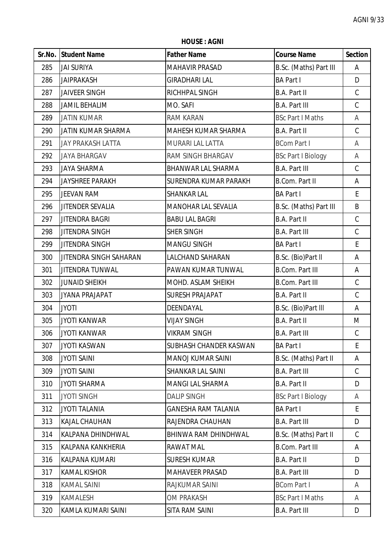**HOUSE : AGNI**

|     | Sr.No. Student Name      | <b>Father Name</b>           | <b>Course Name</b>        | <b>Section</b> |
|-----|--------------------------|------------------------------|---------------------------|----------------|
| 285 | <b>JAI SURIYA</b>        | <b>MAHAVIR PRASAD</b>        | B.Sc. (Maths) Part III    | A              |
| 286 | <b>JAIPRAKASH</b>        | <b>GIRADHARI LAL</b>         | <b>BA Part I</b>          | D              |
| 287 | <b>JAIVEER SINGH</b>     | RICHHPAL SINGH               | <b>B.A. Part II</b>       | $\mathsf C$    |
| 288 | <b>JAMIL BEHALIM</b>     | MO. SAFI                     | <b>B.A. Part III</b>      | $\mathsf C$    |
| 289 | <b>JATIN KUMAR</b>       | <b>RAM KARAN</b>             | <b>BSc Part I Maths</b>   | A              |
| 290 | JATIN KUMAR SHARMA       | MAHESH KUMAR SHARMA          | <b>B.A. Part II</b>       | $\mathsf C$    |
| 291 | <b>JAY PRAKASH LATTA</b> | <b>MURARI LAL LATTA</b>      | <b>BCom Part I</b>        | A              |
| 292 | <b>JAYA BHARGAV</b>      | RAM SINGH BHARGAV            | <b>BSc Part I Biology</b> | A              |
| 293 | <b>JAYA SHARMA</b>       | <b>BHANWAR LAL SHARMA</b>    | <b>B.A. Part III</b>      | $\mathsf C$    |
| 294 | <b>JAYSHREE PARAKH</b>   | <b>SURENDRA KUMAR PARAKH</b> | <b>B.Com. Part II</b>     | A              |
| 295 | <b>JEEVAN RAM</b>        | <b>SHANKAR LAL</b>           | <b>BA Part I</b>          | E              |
| 296 | <b>JITENDER SEVALIA</b>  | <b>MANOHAR LAL SEVALIA</b>   | B.Sc. (Maths) Part III    | B              |
| 297 | <b>JITENDRA BAGRI</b>    | <b>BABU LAL BAGRI</b>        | <b>B.A. Part II</b>       | $\mathsf C$    |
| 298 | <b>JITENDRA SINGH</b>    | <b>SHER SINGH</b>            | <b>B.A. Part III</b>      | $\mathsf C$    |
| 299 | <b>JITENDRA SINGH</b>    | <b>MANGU SINGH</b>           | <b>BA Part I</b>          | E              |
| 300 | JITENDRA SINGH SAHARAN   | LALCHAND SAHARAN             | B.Sc. (Bio)Part II        | Α              |
| 301 | <b>JITENDRA TUNWAL</b>   | PAWAN KUMAR TUNWAL           | <b>B.Com. Part III</b>    | Α              |
| 302 | <b>JUNAID SHEIKH</b>     | MOHD. ASLAM SHEIKH           | <b>B.Com. Part III</b>    | $\mathsf C$    |
| 303 | <b>JYANA PRAJAPAT</b>    | <b>SURESH PRAJAPAT</b>       | <b>B.A. Part II</b>       | $\mathsf C$    |
| 304 | <b>JYOTI</b>             | DEENDAYAL                    | B.Sc. (Bio)Part III       | A              |
| 305 | <b>JYOTI KANWAR</b>      | <b>VIJAY SINGH</b>           | <b>B.A. Part II</b>       | M              |
| 306 | <b>JYOTI KANWAR</b>      | <b>VIKRAM SINGH</b>          | <b>B.A. Part III</b>      | $\mathsf C$    |
| 307 | <b>JYOTI KASWAN</b>      | SUBHASH CHANDER KASWAN       | <b>BA Part I</b>          | E              |
| 308 | <b>JYOTI SAINI</b>       | <b>MANOJ KUMAR SAINI</b>     | B.Sc. (Maths) Part II     | A              |
| 309 | <b>JYOTI SAINI</b>       | SHANKAR LAL SAINI            | <b>B.A. Part III</b>      | C              |
| 310 | <b>JYOTI SHARMA</b>      | <b>MANGI LAL SHARMA</b>      | <b>B.A. Part II</b>       | D              |
| 311 | <b>JYOTI SINGH</b>       | <b>DALIP SINGH</b>           | <b>BSc Part I Biology</b> | A              |
| 312 | <b>JYOTI TALANIA</b>     | GANESHA RAM TALANIA          | <b>BA Part I</b>          | E              |
| 313 | <b>KAJAL CHAUHAN</b>     | RAJENDRA CHAUHAN             | <b>B.A. Part III</b>      | D              |
| 314 | KALPANA DHINDHWAL        | BHINWA RAM DHINDHWAL         | B.Sc. (Maths) Part II     | $\mathcal{C}$  |
| 315 | KALPANA KANKHERIA        | RAWAT MAL                    | <b>B.Com. Part III</b>    | A              |
| 316 | <b>KALPANA KUMARI</b>    | <b>SURESH KUMAR</b>          | <b>B.A. Part II</b>       | D              |
| 317 | <b>KAMAL KISHOR</b>      | MAHAVEER PRASAD              | <b>B.A. Part III</b>      | D              |
| 318 | <b>KAMAL SAINI</b>       | RAJKUMAR SAINI               | <b>BCom Part I</b>        | A              |
| 319 | KAMALESH                 | OM PRAKASH                   | <b>BSc Part I Maths</b>   | A              |
| 320 | KAMLA KUMARI SAINI       | SITA RAM SAINI               | <b>B.A. Part III</b>      | D              |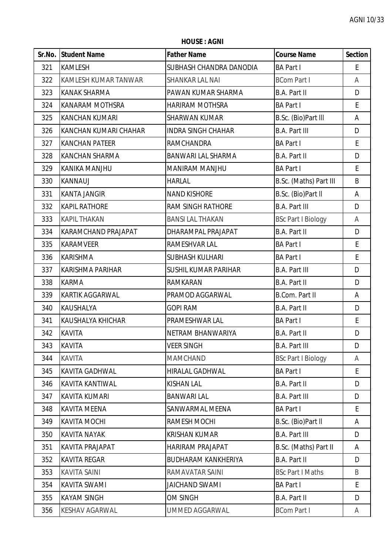**HOUSE : AGNI**

|     | Sr.No. Student Name        | <b>Father Name</b>          | <b>Course Name</b>        | <b>Section</b> |
|-----|----------------------------|-----------------------------|---------------------------|----------------|
| 321 | <b>KAMLESH</b>             | SUBHASH CHANDRA DANODIA     | <b>BA Part I</b>          | E              |
| 322 | KAMLESH KUMAR TANWAR       | <b>SHANKAR LAL NAI</b>      | <b>BCom Part I</b>        | Α              |
| 323 | <b>KANAK SHARMA</b>        | PAWAN KUMAR SHARMA          | B.A. Part II              | D              |
| 324 | <b>KANARAM MOTHSRA</b>     | HARIRAM MOTHSRA             | <b>BA Part I</b>          | E              |
| 325 | <b>KANCHAN KUMARI</b>      | <b>SHARWAN KUMAR</b>        | B.Sc. (Bio)Part III       | Α              |
| 326 | KANCHAN KUMARI CHAHAR      | <b>INDRA SINGH CHAHAR</b>   | <b>B.A. Part III</b>      | D              |
| 327 | <b>KANCHAN PATEER</b>      | RAMCHANDRA                  | <b>BA Part I</b>          | E              |
| 328 | <b>KANCHAN SHARMA</b>      | <b>BANWARI LAL SHARMA</b>   | B.A. Part II              | D              |
| 329 | <b>KANIKA MANJHU</b>       | MANIRAM MANJHU              | <b>BA Part I</b>          | E              |
| 330 | <b>KANNAUJ</b>             | <b>HARLAL</b>               | B.Sc. (Maths) Part III    | B              |
| 331 | <b>KANTA JANGIR</b>        | <b>NAND KISHORE</b>         | B.Sc. (Bio)Part II        | Α              |
| 332 | <b>KAPIL RATHORE</b>       | <b>RAM SINGH RATHORE</b>    | <b>B.A. Part III</b>      | D              |
| 333 | <b>KAPIL THAKAN</b>        | <b>BANSI LAL THAKAN</b>     | <b>BSc Part I Biology</b> | A              |
| 334 | <b>KARAMCHAND PRAJAPAT</b> | DHARAMPAL PRAJAPAT          | B.A. Part II              | D              |
| 335 | <b>KARAMVEER</b>           | RAMESHVAR LAL               | <b>BA Part I</b>          | $\mathsf E$    |
| 336 | <b>KARISHMA</b>            | <b>SUBHASH KULHARI</b>      | <b>BA Part I</b>          | E              |
| 337 | <b>KARISHMA PARIHAR</b>    | <b>SUSHIL KUMAR PARIHAR</b> | <b>B.A. Part III</b>      | D              |
| 338 | <b>KARMA</b>               | <b>RAMKARAN</b>             | B.A. Part II              | D              |
| 339 | <b>KARTIK AGGARWAL</b>     | PRAMOD AGGARWAL             | <b>B.Com. Part II</b>     | Α              |
| 340 | <b>KAUSHALYA</b>           | <b>GOPI RAM</b>             | B.A. Part II              | D              |
| 341 | <b>KAUSHALYA KHICHAR</b>   | PRAMESHWAR LAL              | <b>BA Part I</b>          | E              |
| 342 | <b>KAVITA</b>              | NETRAM BHANWARIYA           | B.A. Part II              | D              |
| 343 | <b>KAVITA</b>              | <b>VEER SINGH</b>           | <b>B.A. Part III</b>      | D              |
| 344 | <b>KAVITA</b>              | <b>MAMCHAND</b>             | <b>BSc Part I Biology</b> | A              |
| 345 | KAVITA GADHWAL             | HIRALAL GADHWAL             | <b>BA Part I</b>          | E              |
| 346 | KAVITA KANTIWAL            | <b>KISHAN LAL</b>           | B.A. Part II              | D              |
| 347 | <b>KAVITA KUMARI</b>       | <b>BANWARI LAL</b>          | <b>B.A. Part III</b>      | D              |
| 348 | <b>KAVITA MEENA</b>        | SANWARMAL MEENA             | <b>BA Part I</b>          | E              |
| 349 | <b>KAVITA MOCHI</b>        | <b>RAMESH MOCHI</b>         | B.Sc. (Bio)Part II        | A              |
| 350 | <b>KAVITA NAYAK</b>        | <b>KRISHAN KUMAR</b>        | <b>B.A. Part III</b>      | D              |
| 351 | KAVITA PRAJAPAT            | HARIRAM PRAJAPAT            | B.Sc. (Maths) Part II     | A              |
| 352 | <b>KAVITA REGAR</b>        | <b>BUDHARAM KANKHERIYA</b>  | B.A. Part II              | D              |
| 353 | <b>KAVITA SAINI</b>        | RAMAVATAR SAINI             | <b>BSc Part I Maths</b>   | B              |
| 354 | <b>KAVITA SWAMI</b>        | <b>JAICHAND SWAMI</b>       | <b>BA Part I</b>          | E              |
| 355 | <b>KAYAM SINGH</b>         | <b>OM SINGH</b>             | B.A. Part II              | D              |
| 356 | KESHAV AGARWAL             | UMMED AGGARWAL              | <b>BCom Part I</b>        | A              |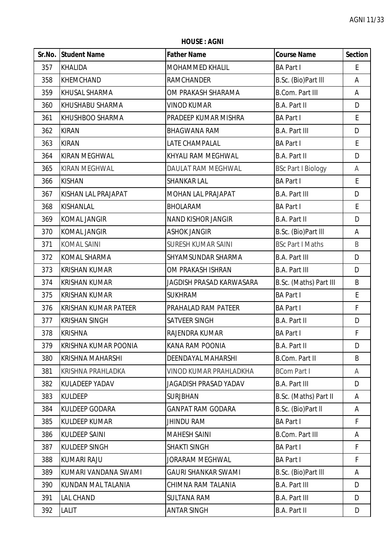**HOUSE : AGNI**

|     | Sr.No. Student Name         | <b>Father Name</b>         | <b>Course Name</b>        | <b>Section</b> |
|-----|-----------------------------|----------------------------|---------------------------|----------------|
| 357 | <b>KHALIDA</b>              | MOHAMMED KHALIL            | <b>BA Part I</b>          | E.             |
| 358 | <b>KHEMCHAND</b>            | <b>RAMCHANDER</b>          | B.Sc. (Bio)Part III       | A              |
| 359 | <b>KHUSAL SHARMA</b>        | OM PRAKASH SHARAMA         | <b>B.Com. Part III</b>    | A              |
| 360 | KHUSHABU SHARMA             | <b>VINOD KUMAR</b>         | <b>B.A. Part II</b>       | D              |
| 361 | KHUSHBOO SHARMA             | PRADEEP KUMAR MISHRA       | <b>BA Part I</b>          | E              |
| 362 | <b>KIRAN</b>                | <b>BHAGWANA RAM</b>        | <b>B.A. Part III</b>      | D              |
| 363 | <b>KIRAN</b>                | LATE CHAMPALAL             | <b>BA Part I</b>          | E              |
| 364 | <b>KIRAN MEGHWAL</b>        | KHYALI RAM MEGHWAL         | B.A. Part II              | D              |
| 365 | <b>KIRAN MEGHWAL</b>        | DAULAT RAM MEGHWAL         | <b>BSc Part I Biology</b> | A              |
| 366 | <b>KISHAN</b>               | <b>SHANKAR LAL</b>         | <b>BA Part I</b>          | E              |
| 367 | KISHAN LAL PRAJAPAT         | MOHAN LAL PRAJAPAT         | <b>B.A. Part III</b>      | D              |
| 368 | <b>KISHANLAL</b>            | <b>BHOLARAM</b>            | <b>BA Part I</b>          | E              |
| 369 | <b>KOMAL JANGIR</b>         | <b>NAND KISHOR JANGIR</b>  | B.A. Part II              | D              |
| 370 | <b>KOMAL JANGIR</b>         | <b>ASHOK JANGIR</b>        | B.Sc. (Bio)Part III       | A              |
| 371 | <b>KOMAL SAINI</b>          | <b>SURESH KUMAR SAINI</b>  | <b>BSc Part I Maths</b>   | B              |
| 372 | <b>KOMAL SHARMA</b>         | SHYAMSUNDAR SHARMA         | <b>B.A. Part III</b>      | D              |
| 373 | <b>KRISHAN KUMAR</b>        | OM PRAKASH ISHRAN          | <b>B.A. Part III</b>      | D              |
| 374 | <b>KRISHAN KUMAR</b>        | JAGDISH PRASAD KARWASARA   | B.Sc. (Maths) Part III    | B              |
| 375 | <b>KRISHAN KUMAR</b>        | <b>SUKHRAM</b>             | <b>BA Part I</b>          | E              |
| 376 | <b>KRISHAN KUMAR PATEER</b> | PRAHALAD RAM PATEER        | <b>BA Part I</b>          | F              |
| 377 | <b>KRISHAN SINGH</b>        | SATVEER SINGH              | <b>B.A. Part II</b>       | D              |
| 378 | <b>KRISHNA</b>              | RAJENDRA KUMAR             | <b>BA Part I</b>          | F              |
| 379 | KRISHNA KUMAR POONIA        | <b>KANA RAM POONIA</b>     | <b>B.A. Part II</b>       | D              |
| 380 | <b>KRISHNA MAHARSHI</b>     | DEENDAYAL MAHARSHI         | <b>B.Com. Part II</b>     | B              |
| 381 | KRISHNA PRAHLADKA           | VINOD KUMAR PRAHLADKHA     | <b>BCom Part I</b>        | Α              |
| 382 | <b>KULADEEP YADAV</b>       | JAGADISH PRASAD YADAV      | <b>B.A. Part III</b>      | D              |
| 383 | <b>KULDEEP</b>              | <b>SURJBHAN</b>            | B.Sc. (Maths) Part II     | A              |
| 384 | KULDEEP GODARA              | GANPAT RAM GODARA          | B.Sc. (Bio)Part II        | A              |
| 385 | <b>KULDEEP KUMAR</b>        | <b>JHINDU RAM</b>          | <b>BA Part I</b>          | F              |
| 386 | <b>KULDEEP SAINI</b>        | <b>MAHESH SAINI</b>        | <b>B.Com. Part III</b>    | A              |
| 387 | <b>KULDEEP SINGH</b>        | <b>SHAKTI SINGH</b>        | <b>BA Part I</b>          | F              |
| 388 | <b>KUMARI RAJU</b>          | JORARAM MEGHWAL            | <b>BA Part I</b>          | F              |
| 389 | KUMARI VANDANA SWAMI        | <b>GAURI SHANKAR SWAMI</b> | B.Sc. (Bio)Part III       | A              |
| 390 | KUNDAN MAL TALANIA          | CHIMNA RAM TALANIA         | <b>B.A. Part III</b>      | D              |
| 391 | <b>LAL CHAND</b>            | <b>SULTANA RAM</b>         | <b>B.A. Part III</b>      | D              |
| 392 | <b>LALIT</b>                | <b>ANTAR SINGH</b>         | <b>B.A. Part II</b>       | D              |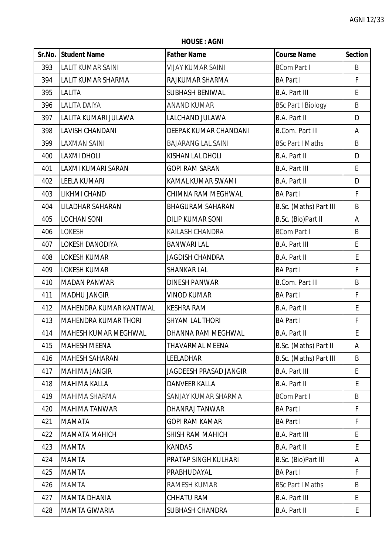**HOUSE : AGNI**

|     | Sr.No. Student Name       | <b>Father Name</b>            | <b>Course Name</b>        | <b>Section</b> |
|-----|---------------------------|-------------------------------|---------------------------|----------------|
| 393 | <b>LALIT KUMAR SAINI</b>  | <b>VIJAY KUMAR SAINI</b>      | <b>BCom Part I</b>        | B              |
| 394 | <b>LALIT KUMAR SHARMA</b> | RAJKUMAR SHARMA               | <b>BA Part I</b>          | $\mathsf F$    |
| 395 | <b>LALITA</b>             | SUBHASH BENIWAL               | <b>B.A. Part III</b>      | E              |
| 396 | <b>LALITA DAIYA</b>       | <b>ANAND KUMAR</b>            | <b>BSc Part I Biology</b> | B              |
| 397 | LALITA KUMARI JULAWA      | LALCHAND JULAWA               | <b>B.A. Part II</b>       | D              |
| 398 | LAVISH CHANDANI           | DEEPAK KUMAR CHANDANI         | <b>B.Com. Part III</b>    | Α              |
| 399 | <b>LAXMAN SAINI</b>       | <b>BAJARANG LAL SAINI</b>     | <b>BSc Part I Maths</b>   | B              |
| 400 | <b>LAXMI DHOLI</b>        | KISHAN LAL DHOLI              | B.A. Part II              | D              |
| 401 | LAXMI KUMARI SARAN        | <b>GOPI RAM SARAN</b>         | <b>B.A. Part III</b>      | E              |
| 402 | <b>LEELA KUMARI</b>       | KAMAL KUMAR SWAMI             | <b>B.A. Part II</b>       | D              |
| 403 | <b>LIKHMI CHAND</b>       | CHIMNA RAM MEGHWAL            | <b>BA Part I</b>          | $\mathsf F$    |
| 404 | LILADHAR SAHARAN          | <b>BHAGURAM SAHARAN</b>       | B.Sc. (Maths) Part III    | B              |
| 405 | <b>LOCHAN SONI</b>        | <b>DILIP KUMAR SONI</b>       | B.Sc. (Bio)Part II        | A              |
| 406 | <b>LOKESH</b>             | KAILASH CHANDRA               | <b>BCom Part I</b>        | B              |
| 407 | <b>LOKESH DANODIYA</b>    | <b>BANWARI LAL</b>            | <b>B.A. Part III</b>      | E              |
| 408 | <b>LOKESH KUMAR</b>       | <b>JAGDISH CHANDRA</b>        | <b>B.A. Part II</b>       | E              |
| 409 | <b>LOKESH KUMAR</b>       | <b>SHANKAR LAL</b>            | <b>BA Part I</b>          | F              |
| 410 | <b>MADAN PANWAR</b>       | <b>DINESH PANWAR</b>          | <b>B.Com. Part III</b>    | B              |
| 411 | <b>MADHU JANGIR</b>       | <b>VINOD KUMAR</b>            | <b>BA Part I</b>          | $\mathsf F$    |
| 412 | MAHENDRA KUMAR KANTIWAL   | <b>KESHRA RAM</b>             | B.A. Part II              | E              |
| 413 | MAHENDRA KUMAR THORI      | <b>SHYAM LAL THORI</b>        | <b>BA Part I</b>          | F              |
| 414 | MAHESH KUMAR MEGHWAL      | DHANNA RAM MEGHWAL            | <b>B.A. Part II</b>       | $\mathsf E$    |
| 415 | <b>MAHESH MEENA</b>       | <b>THAVARMAL MEENA</b>        | B.Sc. (Maths) Part II     | Α              |
| 416 | MAHESH SAHARAN            | LEELADHAR                     | B.Sc. (Maths) Part III    | B              |
| 417 | <b>MAHIMA JANGIR</b>      | <b>JAGDEESH PRASAD JANGIR</b> | <b>B.A. Part III</b>      | E              |
| 418 | <b>MAHIMA KALLA</b>       | <b>DANVEER KALLA</b>          | <b>B.A. Part II</b>       | E              |
| 419 | <b>MAHIMA SHARMA</b>      | SANJAY KUMAR SHARMA           | <b>BCom Part I</b>        | B              |
| 420 | MAHIMA TANWAR             | DHANRAJ TANWAR                | <b>BA Part I</b>          | F              |
| 421 | <b>MAMATA</b>             | <b>GOPI RAM KAMAR</b>         | <b>BA Part I</b>          | $\mathsf F$    |
| 422 | MAMATA MAHICH             | SHISH RAM MAHICH              | <b>B.A. Part III</b>      | E              |
| 423 | <b>MAMTA</b>              | <b>KANDAS</b>                 | <b>B.A. Part II</b>       | E              |
| 424 | <b>MAMTA</b>              | PRATAP SINGH KULHARI          | B.Sc. (Bio)Part III       | Α              |
| 425 | <b>MAMTA</b>              | PRABHUDAYAL                   | <b>BA Part I</b>          | F              |
| 426 | <b>MAMTA</b>              | RAMESH KUMAR                  | <b>BSc Part I Maths</b>   | B              |
| 427 | <b>MAMTA DHANIA</b>       | CHHATU RAM                    | <b>B.A. Part III</b>      | E              |
| 428 | MAMTA GIWARIA             | SUBHASH CHANDRA               | <b>B.A. Part II</b>       | E              |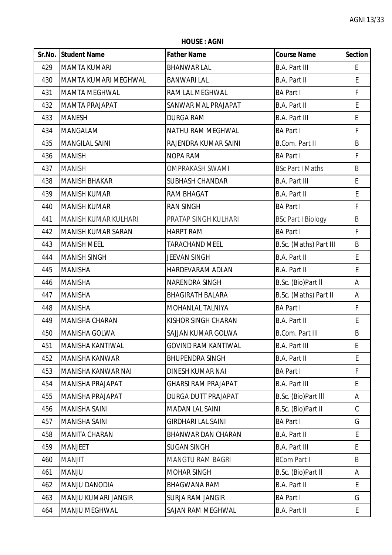**HOUSE : AGNI**

|     | Sr.No. Student Name         | <b>Father Name</b>         | <b>Course Name</b>        | <b>Section</b> |
|-----|-----------------------------|----------------------------|---------------------------|----------------|
| 429 | <b>MAMTA KUMARI</b>         | <b>BHANWAR LAL</b>         | <b>B.A. Part III</b>      | E.             |
| 430 | <b>MAMTA KUMARI MEGHWAL</b> | <b>BANWARI LAL</b>         | B.A. Part II              | E              |
| 431 | <b>MAMTA MEGHWAL</b>        | RAM LAL MEGHWAL            | <b>BA Part I</b>          | F              |
| 432 | <b>MAMTA PRAJAPAT</b>       | SANWAR MAL PRAJAPAT        | B.A. Part II              | ${\sf E}$      |
| 433 | <b>MANESH</b>               | <b>DURGA RAM</b>           | <b>B.A. Part III</b>      | E              |
| 434 | <b>MANGALAM</b>             | NATHU RAM MEGHWAL          | <b>BA Part I</b>          | $\mathsf F$    |
| 435 | <b>MANGILAL SAINI</b>       | RAJENDRA KUMAR SAINI       | <b>B.Com. Part II</b>     | B              |
| 436 | <b>MANISH</b>               | <b>NOPA RAM</b>            | <b>BA Part I</b>          | $\mathsf F$    |
| 437 | <b>MANISH</b>               | <b>OMPRAKASH SWAMI</b>     | <b>BSc Part I Maths</b>   | $\sf B$        |
| 438 | <b>MANISH BHAKAR</b>        | <b>SUBHASH CHANDAR</b>     | <b>B.A. Part III</b>      | E              |
| 439 | <b>MANISH KUMAR</b>         | RAM BHAGAT                 | B.A. Part II              | E              |
| 440 | <b>MANISH KUMAR</b>         | <b>RAN SINGH</b>           | <b>BA Part I</b>          | $\mathsf F$    |
| 441 | <b>MANISH KUMAR KULHARI</b> | PRATAP SINGH KULHARI       | <b>BSc Part I Biology</b> | B              |
| 442 | MANISH KUMAR SARAN          | <b>HARPT RAM</b>           | <b>BA Part I</b>          | $\mathsf F$    |
| 443 | <b>MANISH MEEL</b>          | <b>TARACHAND MEEL</b>      | B.Sc. (Maths) Part III    | B              |
| 444 | <b>MANISH SINGH</b>         | JEEVAN SINGH               | B.A. Part II              | E              |
| 445 | <b>MANISHA</b>              | HARDEVARAM ADLAN           | B.A. Part II              | E              |
| 446 | <b>MANISHA</b>              | NARENDRA SINGH             | B.Sc. (Bio)Part II        | A              |
| 447 | <b>MANISHA</b>              | <b>BHAGIRATH BALARA</b>    | B.Sc. (Maths) Part II     | Α              |
| 448 | <b>MANISHA</b>              | MOHANLAL TALNIYA           | <b>BA Part I</b>          | $\mathsf F$    |
| 449 | <b>MANISHA CHARAN</b>       | KISHOR SINGH CHARAN        | B.A. Part II              | E              |
| 450 | MANISHA GOLWA               | SAJJAN KUMAR GOLWA         | <b>B.Com. Part III</b>    | B              |
| 451 | MANISHA KANTIWAL            | <b>GOVIND RAM KANTIWAL</b> | <b>B.A. Part III</b>      | E              |
| 452 | <b>MANISHA KANWAR</b>       | <b>BHUPENDRA SINGH</b>     | <b>B.A. Part II</b>       | E              |
| 453 | MANISHA KANWAR NAI          | DINESH KUMAR NAI           | <b>BA Part I</b>          | F              |
| 454 | MANISHA PRAJAPAT            | <b>GHARSI RAM PRAJAPAT</b> | <b>B.A. Part III</b>      | E              |
| 455 | <b>MANISHA PRAJAPAT</b>     | <b>DURGA DUTT PRAJAPAT</b> | B.Sc. (Bio)Part III       | Α              |
| 456 | <b>MANISHA SAINI</b>        | <b>MADAN LAL SAINI</b>     | B.Sc. (Bio)Part II        | C              |
| 457 | <b>MANISHA SAINI</b>        | <b>GIRDHARI LAL SAINI</b>  | <b>BA Part I</b>          | G              |
| 458 | <b>MANITA CHARAN</b>        | <b>BHANWAR DAN CHARAN</b>  | B.A. Part II              | $\mathsf E$    |
| 459 | <b>MANJEET</b>              | <b>SUGAN SINGH</b>         | <b>B.A. Part III</b>      | E              |
| 460 | <b>MANJIT</b>               | <b>MANGTU RAM BAGRI</b>    | <b>BCom Part I</b>        | B              |
| 461 | <b>MANJU</b>                | <b>MOHAR SINGH</b>         | B.Sc. (Bio)Part II        | A              |
| 462 | <b>MANJU DANODIA</b>        | BHAGWANA RAM               | B.A. Part II              | E              |
| 463 | <b>MANJU KUMARI JANGIR</b>  | <b>SURJA RAM JANGIR</b>    | <b>BA Part I</b>          | G              |
| 464 | <b>MANJU MEGHWAL</b>        | SAJAN RAM MEGHWAL          | B.A. Part II              | E              |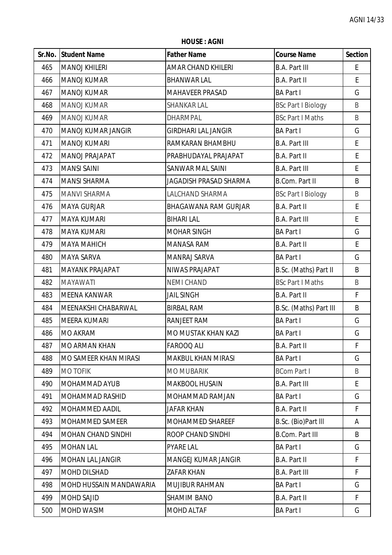**HOUSE : AGNI**

|     | Sr.No. Student Name            | <b>Father Name</b>          | <b>Course Name</b>        | <b>Section</b> |
|-----|--------------------------------|-----------------------------|---------------------------|----------------|
| 465 | <b>MANOJ KHILERI</b>           | <b>AMAR CHAND KHILERI</b>   | <b>B.A. Part III</b>      | E              |
| 466 | <b>MANOJ KUMAR</b>             | <b>BHANWAR LAL</b>          | <b>B.A. Part II</b>       | E              |
| 467 | <b>MANOJ KUMAR</b>             | MAHAVEER PRASAD             | <b>BA Part I</b>          | G              |
| 468 | <b>MANOJ KUMAR</b>             | <b>SHANKAR LAL</b>          | <b>BSc Part I Biology</b> | B              |
| 469 | <b>MANOJ KUMAR</b>             | <b>DHARMPAL</b>             | <b>BSc Part I Maths</b>   | B              |
| 470 | <b>MANOJ KUMAR JANGIR</b>      | <b>GIRDHARI LAL JANGIR</b>  | <b>BA Part I</b>          | G              |
| 471 | <b>MANOJ KUMARI</b>            | RAMKARAN BHAMBHU            | <b>B.A. Part III</b>      | E              |
| 472 | MANOJ PRAJAPAT                 | PRABHUDAYAL PRAJAPAT        | B.A. Part II              | E              |
| 473 | <b>MANSI SAINI</b>             | <b>SANWAR MAL SAINI</b>     | <b>B.A. Part III</b>      | E              |
| 474 | <b>MANSI SHARMA</b>            | JAGADISH PRASAD SHARMA      | <b>B.Com. Part II</b>     | B              |
| 475 | <b>MANVI SHARMA</b>            | LALCHAND SHARMA             | <b>BSc Part I Biology</b> | B              |
| 476 | <b>MAYA GURJAR</b>             | <b>BHAGAWANA RAM GURJAR</b> | <b>B.A. Part II</b>       | E              |
| 477 | <b>MAYA KUMARI</b>             | <b>BIHARI LAL</b>           | <b>B.A. Part III</b>      | E              |
| 478 | <b>MAYA KUMARI</b>             | <b>MOHAR SINGH</b>          | <b>BA Part I</b>          | G              |
| 479 | <b>MAYA MAHICH</b>             | <b>MANASA RAM</b>           | <b>B.A. Part II</b>       | E              |
| 480 | <b>MAYA SARVA</b>              | MANRAJ SARVA                | <b>BA Part I</b>          | G              |
| 481 | <b>MAYANK PRAJAPAT</b>         | NIWAS PRAJAPAT              | B.Sc. (Maths) Part II     | B              |
| 482 | <b>MAYAWATI</b>                | <b>NEMI CHAND</b>           | <b>BSc Part I Maths</b>   | B              |
| 483 | <b>MEENA KANWAR</b>            | <b>JAIL SINGH</b>           | <b>B.A. Part II</b>       | F              |
| 484 | MEENAKSHI CHABARWAL            | <b>BIRBAL RAM</b>           | B.Sc. (Maths) Part III    | B              |
| 485 | <b>MEERA KUMARI</b>            | RANJEET RAM                 | <b>BA Part I</b>          | G              |
| 486 | <b>MO AKRAM</b>                | MO MUSTAK KHAN KAZI         | <b>BA Part I</b>          | G              |
| 487 | <b>MO ARMAN KHAN</b>           | <b>FAROOQ ALI</b>           | <b>B.A. Part II</b>       | F              |
| 488 | <b>MO SAMEER KHAN MIRASI</b>   | <b>MAKBUL KHAN MIRASI</b>   | <b>BA Part I</b>          | G              |
| 489 | <b>MO TOFIK</b>                | <b>MO MUBARIK</b>           | <b>BCom Part I</b>        | B              |
| 490 | MOHAMMAD AYUB                  | <b>MAKBOOL HUSAIN</b>       | <b>B.A. Part III</b>      | E              |
| 491 | <b>MOHAMMAD RASHID</b>         | MOHAMMAD RAMJAN             | <b>BA Part I</b>          | G              |
| 492 | <b>MOHAMMED AADIL</b>          | <b>JAFAR KHAN</b>           | <b>B.A. Part II</b>       | F              |
| 493 | MOHAMMED SAMEER                | MOHAMMED SHAREEF            | B.Sc. (Bio)Part III       | A              |
| 494 | <b>MOHAN CHAND SINDHI</b>      | ROOP CHAND SINDHI           | <b>B.Com. Part III</b>    | B              |
| 495 | <b>MOHAN LAL</b>               | <b>PYARE LAL</b>            | <b>BA Part I</b>          | G              |
| 496 | <b>MOHAN LAL JANGIR</b>        | MANGEJ KUMAR JANGIR         | <b>B.A. Part II</b>       | F              |
| 497 | <b>MOHD DILSHAD</b>            | <b>ZAFAR KHAN</b>           | <b>B.A. Part III</b>      | F              |
| 498 | <b>MOHD HUSSAIN MANDAWARIA</b> | <b>MUJIBUR RAHMAN</b>       | <b>BA Part I</b>          | G              |
| 499 | <b>MOHD SAJID</b>              | <b>SHAMIM BANO</b>          | <b>B.A. Part II</b>       | F              |
| 500 | MOHD WASIM                     | MOHD ALTAF                  | <b>BA Part I</b>          | G              |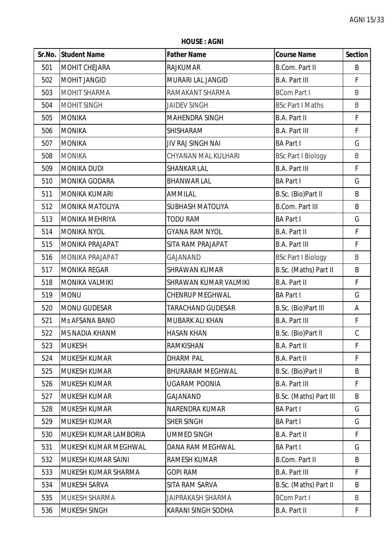**HOUSE : AGNI**

|     | Sr.No. Student Name         | <b>Father Name</b>       | <b>Course Name</b>        | <b>Section</b> |
|-----|-----------------------------|--------------------------|---------------------------|----------------|
| 501 | MOHIT CHEJARA               | <b>RAJKUMAR</b>          | <b>B.Com. Part II</b>     | B              |
| 502 | MOHIT JANGID                | MURARI LAL JANGID        | <b>B.A. Part III</b>      | F              |
| 503 | <b>MOHIT SHARMA</b>         | RAMAKANT SHARMA          | <b>BCom Part I</b>        | B              |
| 504 | <b>MOHIT SINGH</b>          | <b>JAIDEV SINGH</b>      | <b>BSc Part I Maths</b>   | B              |
| 505 | <b>MONIKA</b>               | <b>MAHENDRA SINGH</b>    | B.A. Part II              | $\mathsf{F}$   |
| 506 | <b>MONIKA</b>               | SHISHARAM                | <b>B.A. Part III</b>      | $\mathsf{F}$   |
| 507 | <b>MONIKA</b>               | JIV RAJ SINGH NAI        | <b>BA Part I</b>          | G              |
| 508 | <b>MONIKA</b>               | CHYANAN MAL KULHARI      | <b>BSc Part I Biology</b> | B              |
| 509 | <b>MONIKA DUDI</b>          | SHANKAR LAL              | <b>B.A. Part III</b>      | $\mathsf{F}$   |
| 510 | <b>MONIKA GODARA</b>        | <b>BHANWAR LAL</b>       | <b>BA Part I</b>          | G              |
| 511 | MONIKA KUMARI               | AMMILAL                  | B.Sc. (Bio)Part II        | B              |
| 512 | <b>MONIKA MATOLIYA</b>      | <b>SUBHASH MATOLIYA</b>  | <b>B.Com. Part III</b>    | B              |
| 513 | <b>MONIKA MEHRIYA</b>       | <b>TODU RAM</b>          | <b>BA Part I</b>          | G              |
| 514 | <b>MONIKA NYOL</b>          | <b>GYANA RAM NYOL</b>    | <b>B.A. Part II</b>       | $\mathsf{F}$   |
| 515 | <b>MONIKA PRAJAPAT</b>      | SITA RAM PRAJAPAT        | <b>B.A. Part III</b>      | $\mathsf F$    |
| 516 | <b>MONIKA PRAJAPAT</b>      | GAJANAND                 | <b>BSc Part I Biology</b> | $\sf B$        |
| 517 | <b>MONIKA REGAR</b>         | <b>SHRAWAN KUMAR</b>     | B.Sc. (Maths) Part II     | B              |
| 518 | MONIKA VALMIKI              | SHRAWAN KUMAR VALMIKI    | <b>B.A. Part II</b>       | $\mathsf F$    |
| 519 | <b>MONU</b>                 | <b>CHENRUP MEGHWAL</b>   | <b>BA Part I</b>          | G              |
| 520 | MONU GUDESAR                | <b>TARACHAND GUDESAR</b> | B.Sc. (Bio)Part III       | Α              |
| 521 | Ms AFSANA BANO              | MUBARK ALI KHAN          | <b>B.A. Part III</b>      | F              |
| 522 | <b>MS NADIA KHANM</b>       | <b>HASAN KHAN</b>        | B.Sc. (Bio)Part II        | $\mathsf C$    |
| 523 | <b>MUKESH</b>               | RAMKISHAN                | <b>B.A. Part II</b>       | F              |
| 524 | <b>MUKESH KUMAR</b>         | <b>DHARM PAL</b>         | <b>B.A. Part II</b>       | $\mathsf F$    |
| 525 | <b>MUKESH KUMAR</b>         | <b>BHURARAM MEGHWAL</b>  | B.Sc. (Bio)Part II        | B              |
| 526 | <b>MUKESH KUMAR</b>         | UGARAM POONIA            | <b>B.A. Part III</b>      | F              |
| 527 | <b>MUKESH KUMAR</b>         | GAJANAND                 | B.Sc. (Maths) Part III    | B              |
| 528 | <b>MUKESH KUMAR</b>         | NARENDRA KUMAR           | <b>BA Part I</b>          | G              |
| 529 | <b>MUKESH KUMAR</b>         | <b>SHER SINGH</b>        | <b>BA Part I</b>          | G              |
| 530 | MUKESH KUMAR LAMBORIA       | <b>UMMED SINGH</b>       | B.A. Part II              | F.             |
| 531 | <b>MUKESH KUMAR MEGHWAL</b> | DANA RAM MEGHWAL         | <b>BA Part I</b>          | G              |
| 532 | MUKESH KUMAR SAINI          | <b>RAMESH KUMAR</b>      | <b>B.Com. Part II</b>     | B              |
| 533 | MUKESH KUMAR SHARMA         | <b>GOPI RAM</b>          | <b>B.A. Part III</b>      | F              |
| 534 | MUKESH SARVA                | SITA RAM SARVA           | B.Sc. (Maths) Part II     | B              |
| 535 | <b>MUKESH SHARMA</b>        | JAIPRAKASH SHARMA        | <b>BCom Part I</b>        | B              |
| 536 | MUKESH SINGH                | KARANI SINGH SODHA       | <b>B.A. Part II</b>       | F.             |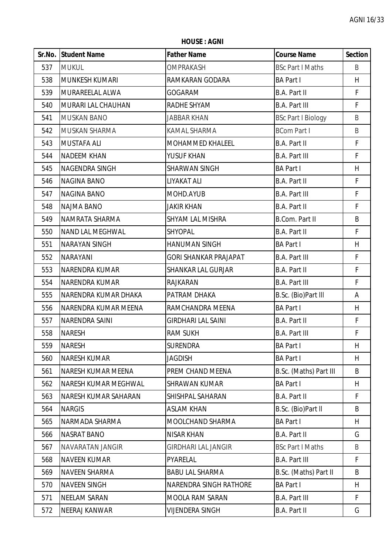**HOUSE : AGNI**

|     | <b>Sr.No. Student Name</b>  | <b>Father Name</b>           | <b>Course Name</b>        | <b>Section</b> |
|-----|-----------------------------|------------------------------|---------------------------|----------------|
| 537 | <b>MUKUL</b>                | <b>OMPRAKASH</b>             | <b>BSc Part I Maths</b>   | B              |
| 538 | <b>MUNKESH KUMARI</b>       | RAMKARAN GODARA              | <b>BA Part I</b>          | H              |
| 539 | MURAREELAL ALWA             | <b>GOGARAM</b>               | B.A. Part II              | $\mathsf F$    |
| 540 | MURARI LAL CHAUHAN          | RADHE SHYAM                  | <b>B.A. Part III</b>      | F              |
| 541 | <b>MUSKAN BANO</b>          | <b>JABBAR KHAN</b>           | <b>BSc Part I Biology</b> | B              |
| 542 | <b>MUSKAN SHARMA</b>        | KAMAL SHARMA                 | <b>BCom Part I</b>        | B              |
| 543 | <b>MUSTAFA ALI</b>          | MOHAMMED KHALEEL             | B.A. Part II              | $\mathsf F$    |
| 544 | <b>NADEEM KHAN</b>          | YUSUF KHAN                   | <b>B.A. Part III</b>      | F              |
| 545 | NAGENDRA SINGH              | <b>SHARWAN SINGH</b>         | <b>BA Part I</b>          | H              |
| 546 | <b>NAGINA BANO</b>          | LIYAKAT ALI                  | B.A. Part II              | $\mathsf{F}$   |
| 547 | <b>NAGINA BANO</b>          | MOHD.AYUB                    | <b>B.A. Part III</b>      | F              |
| 548 | <b>NAJMA BANO</b>           | <b>JAKIR KHAN</b>            | B.A. Part II              | $\mathsf F$    |
| 549 | NAMRATA SHARMA              | <b>SHYAM LAL MISHRA</b>      | B.Com. Part II            | B              |
| 550 | <b>NAND LAL MEGHWAL</b>     | SHYOPAL                      | <b>B.A. Part II</b>       | $\mathsf F$    |
| 551 | <b>NARAYAN SINGH</b>        | <b>HANUMAN SINGH</b>         | <b>BA Part I</b>          | H              |
| 552 | <b>NARAYANI</b>             | <b>GORI SHANKAR PRAJAPAT</b> | <b>B.A. Part III</b>      | F              |
| 553 | <b>NARENDRA KUMAR</b>       | <b>SHANKAR LAL GURJAR</b>    | B.A. Part II              | F              |
| 554 | <b>NARENDRA KUMAR</b>       | <b>RAJKARAN</b>              | <b>B.A. Part III</b>      | $\mathsf F$    |
| 555 | NARENDRA KUMAR DHAKA        | PATRAM DHAKA                 | B.Sc. (Bio)Part III       | Α              |
| 556 | NARENDRA KUMAR MEENA        | RAMCHANDRA MEENA             | <b>BA Part I</b>          | H              |
| 557 | <b>NARENDRA SAINI</b>       | <b>GIRDHARI LAL SAINI</b>    | B.A. Part II              | F              |
| 558 | <b>NARESH</b>               | <b>RAM SUKH</b>              | <b>B.A. Part III</b>      | $\mathsf F$    |
| 559 | <b>NARESH</b>               | <b>SURENDRA</b>              | <b>BA Part I</b>          | H              |
| 560 | <b>NARESH KUMAR</b>         | <b>JAGDISH</b>               | <b>BA Part I</b>          | H              |
| 561 | NARESH KUMAR MEENA          | PREM CHAND MEENA             | B.Sc. (Maths) Part III    | B              |
| 562 | NARESH KUMAR MEGHWAL        | <b>SHRAWAN KUMAR</b>         | <b>BA Part I</b>          | H              |
| 563 | <b>NARESH KUMAR SAHARAN</b> | SHISHPAL SAHARAN             | B.A. Part II              | F              |
| 564 | <b>NARGIS</b>               | <b>ASLAM KHAN</b>            | B.Sc. (Bio)Part II        | B              |
| 565 | NARMADA SHARMA              | MOOLCHAND SHARMA             | <b>BA Part I</b>          | H              |
| 566 | <b>NASRAT BANO</b>          | <b>NISAR KHAN</b>            | B.A. Part II              | G              |
| 567 | NAVARATAN JANGIR            | <b>GIRDHARI LAL JANGIR</b>   | <b>BSc Part I Maths</b>   | B              |
| 568 | <b>NAVEEN KUMAR</b>         | PYARELAL                     | <b>B.A. Part III</b>      | F              |
| 569 | <b>NAVEEN SHARMA</b>        | <b>BABU LAL SHARMA</b>       | B.Sc. (Maths) Part II     | B              |
| 570 | <b>NAVEEN SINGH</b>         | NARENDRA SINGH RATHORE       | <b>BA Part I</b>          | H              |
| 571 | <b>NEELAM SARAN</b>         | <b>MOOLA RAM SARAN</b>       | <b>B.A. Part III</b>      | F              |
| 572 | NEERAJ KANWAR               | <b>VIJENDERA SINGH</b>       | B.A. Part II              | G              |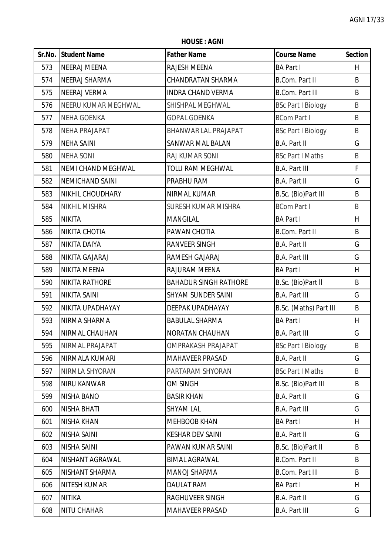**HOUSE : AGNI**

|     | Sr.No. Student Name       | <b>Father Name</b>           | <b>Course Name</b>        | <b>Section</b> |
|-----|---------------------------|------------------------------|---------------------------|----------------|
| 573 | NEERAJ MEENA              | RAJESH MEENA                 | <b>BA Part I</b>          | H              |
| 574 | <b>NEERAJ SHARMA</b>      | <b>CHANDRATAN SHARMA</b>     | <b>B.Com. Part II</b>     | B              |
| 575 | <b>NEERAJ VERMA</b>       | <b>INDRA CHAND VERMA</b>     | <b>B.Com. Part III</b>    | B              |
| 576 | NEERU KUMAR MEGHWAL       | SHISHPAL MEGHWAL             | <b>BSc Part I Biology</b> | B              |
| 577 | <b>NEHA GOENKA</b>        | <b>GOPAL GOENKA</b>          | <b>BCom Part I</b>        | B              |
| 578 | <b>NEHA PRAJAPAT</b>      | BHANWAR LAL PRAJAPAT         | <b>BSc Part I Biology</b> | $\sf B$        |
| 579 | <b>NEHA SAINI</b>         | <b>SANWAR MAL BALAN</b>      | B.A. Part II              | G              |
| 580 | <b>NEHA SONI</b>          | RAJ KUMAR SONI               | <b>BSc Part I Maths</b>   | B              |
| 581 | <b>NEMI CHAND MEGHWAL</b> | <b>TOLU RAM MEGHWAL</b>      | <b>B.A. Part III</b>      | $\mathsf F$    |
| 582 | <b>NEMICHAND SAINI</b>    | PRABHU RAM                   | B.A. Part II              | G              |
| 583 | <b>NIKHIL CHOUDHARY</b>   | NIRMAL KUMAR                 | B.Sc. (Bio)Part III       | B              |
| 584 | <b>NIKHIL MISHRA</b>      | <b>SURESH KUMAR MISHRA</b>   | <b>BCom Part I</b>        | B              |
| 585 | <b>NIKITA</b>             | <b>MANGILAL</b>              | <b>BA Part I</b>          | H              |
| 586 | <b>NIKITA CHOTIA</b>      | PAWAN CHOTIA                 | <b>B.Com. Part II</b>     | B              |
| 587 | <b>NIKITA DAIYA</b>       | <b>RANVEER SINGH</b>         | <b>B.A. Part II</b>       | G              |
| 588 | NIKITA GAJARAJ            | RAMESH GAJARAJ               | <b>B.A. Part III</b>      | G              |
| 589 | NIKITA MEENA              | RAJURAM MEENA                | <b>BA Part I</b>          | H              |
| 590 | <b>NIKITA RATHORE</b>     | <b>BAHADUR SINGH RATHORE</b> | B.Sc. (Bio)Part II        | B              |
| 591 | <b>NIKITA SAINI</b>       | <b>SHYAM SUNDER SAINI</b>    | <b>B.A. Part III</b>      | G              |
| 592 | <b>NIKITA UPADHAYAY</b>   | DEEPAK UPADHAYAY             | B.Sc. (Maths) Part III    | B              |
| 593 | NIRMA SHARMA              | <b>BABULAL SHARMA</b>        | <b>BA Part I</b>          | H              |
| 594 | NIRMAL CHAUHAN            | NORATAN CHAUHAN              | <b>B.A. Part III</b>      | G              |
| 595 | <b>NIRMAL PRAJAPAT</b>    | <b>OMPRAKASH PRAJAPAT</b>    | <b>BSc Part I Biology</b> | B              |
| 596 | NIRMALA KUMARI            | <b>MAHAVEER PRASAD</b>       | <b>B.A. Part II</b>       | G              |
| 597 | NIRMLA SHYORAN            | PARTARAM SHYORAN             | <b>BSc Part I Maths</b>   | B              |
| 598 | <b>NIRU KANWAR</b>        | <b>OM SINGH</b>              | B.Sc. (Bio)Part III       | B              |
| 599 | <b>NISHA BANO</b>         | <b>BASIR KHAN</b>            | B.A. Part II              | G              |
| 600 | <b>NISHA BHATI</b>        | <b>SHYAM LAL</b>             | <b>B.A. Part III</b>      | G              |
| 601 | <b>NISHA KHAN</b>         | <b>MEHBOOB KHAN</b>          | <b>BA Part I</b>          | H.             |
| 602 | <b>NISHA SAINI</b>        | <b>KESHAR DEV SAINI</b>      | B.A. Part II              | G              |
| 603 | <b>NISHA SAINI</b>        | PAWAN KUMAR SAINI            | B.Sc. (Bio)Part II        | B              |
| 604 | NISHANT AGRAWAL           | <b>BIMAL AGRAWAL</b>         | <b>B.Com. Part II</b>     | B              |
| 605 | <b>NISHANT SHARMA</b>     | <b>MANOJ SHARMA</b>          | <b>B.Com. Part III</b>    | B              |
| 606 | <b>NITESH KUMAR</b>       | <b>DAULAT RAM</b>            | <b>BA Part I</b>          | H              |
| 607 | <b>NITIKA</b>             | RAGHUVEER SINGH              | B.A. Part II              | G              |
| 608 | <b>NITU CHAHAR</b>        | <b>MAHAVEER PRASAD</b>       | <b>B.A. Part III</b>      | G              |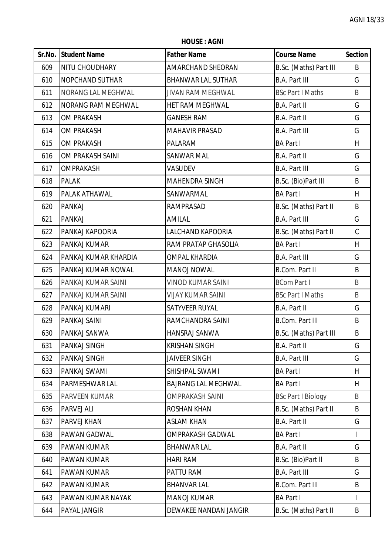**HOUSE : AGNI**

|     | Sr.No. Student Name       | <b>Father Name</b>         | <b>Course Name</b>        | <b>Section</b> |
|-----|---------------------------|----------------------------|---------------------------|----------------|
| 609 | NITU CHOUDHARY            | AMARCHAND SHEORAN          | B.Sc. (Maths) Part III    | B              |
| 610 | <b>NOPCHAND SUTHAR</b>    | <b>BHANWAR LAL SUTHAR</b>  | <b>B.A. Part III</b>      | G              |
| 611 | NORANG LAL MEGHWAL        | <b>JIVAN RAM MEGHWAL</b>   | <b>BSc Part I Maths</b>   | B              |
| 612 | <b>NORANG RAM MEGHWAL</b> | HET RAM MEGHWAL            | B.A. Part II              | G              |
| 613 | <b>OM PRAKASH</b>         | <b>GANESH RAM</b>          | B.A. Part II              | G              |
| 614 | <b>OM PRAKASH</b>         | <b>MAHAVIR PRASAD</b>      | <b>B.A. Part III</b>      | G              |
| 615 | <b>OM PRAKASH</b>         | PALARAM                    | <b>BA Part I</b>          | H              |
| 616 | OM PRAKASH SAINI          | <b>SANWAR MAL</b>          | B.A. Part II              | G              |
| 617 | OMPRAKASH                 | VASUDEV                    | <b>B.A. Part III</b>      | G              |
| 618 | <b>PALAK</b>              | <b>MAHENDRA SINGH</b>      | B.Sc. (Bio)Part III       | B              |
| 619 | PALAK ATHAWAL             | SANWARMAL                  | <b>BA Part I</b>          | H              |
| 620 | <b>PANKAJ</b>             | <b>RAMPRASAD</b>           | B.Sc. (Maths) Part II     | B              |
| 621 | <b>PANKAJ</b>             | AMILAL                     | <b>B.A. Part III</b>      | G              |
| 622 | PANKAJ KAPOORIA           | LALCHAND KAPOORIA          | B.Sc. (Maths) Part II     | $\mathsf C$    |
| 623 | PANKAJ KUMAR              | <b>RAM PRATAP GHASOLIA</b> | <b>BA Part I</b>          | H              |
| 624 | PANKAJ KUMAR KHARDIA      | <b>OMPAL KHARDIA</b>       | <b>B.A. Part III</b>      | G              |
| 625 | PANKAJ KUMAR NOWAL        | <b>MANOJ NOWAL</b>         | <b>B.Com. Part II</b>     | B              |
| 626 | PANKAJ KUMAR SAINI        | <b>VINOD KUMAR SAINI</b>   | <b>BCom Part I</b>        | B              |
| 627 | PANKAJ KUMAR SAINI        | <b>VIJAY KUMAR SAINI</b>   | <b>BSc Part I Maths</b>   | B              |
| 628 | PANKAJ KUMARI             | SATYVEER RUYAL             | B.A. Part II              | G              |
| 629 | PANKAJ SAINI              | RAMCHANDRA SAINI           | <b>B.Com. Part III</b>    | B              |
| 630 | PANKAJ SANWA              | HANSRAJ SANWA              | B.Sc. (Maths) Part III    | B              |
| 631 | PANKAJ SINGH              | <b>KRISHAN SINGH</b>       | B.A. Part II              | G              |
| 632 | PANKAJ SINGH              | <b>JAIVEER SINGH</b>       | <b>B.A. Part III</b>      | G              |
| 633 | PANKAJ SWAMI              | SHISHPAL SWAMI             | <b>BA Part I</b>          | H              |
| 634 | PARMESHWAR LAL            | <b>BAJRANG LAL MEGHWAL</b> | <b>BA Part I</b>          | H              |
| 635 | PARVEEN KUMAR             | <b>OMPRAKASH SAINI</b>     | <b>BSc Part I Biology</b> | B              |
| 636 | PARVEJ ALI                | <b>ROSHAN KHAN</b>         | B.Sc. (Maths) Part II     | B              |
| 637 | <b>PARVEJ KHAN</b>        | <b>ASLAM KHAN</b>          | B.A. Part II              | G              |
| 638 | PAWAN GADWAL              | OMPRAKASH GADWAL           | <b>BA Part I</b>          | I              |
| 639 | PAWAN KUMAR               | <b>BHANWAR LAL</b>         | B.A. Part II              | G              |
| 640 | <b>PAWAN KUMAR</b>        | <b>HARI RAM</b>            | B.Sc. (Bio)Part II        | B              |
| 641 | PAWAN KUMAR               | PATTU RAM                  | <b>B.A. Part III</b>      | G              |
| 642 | PAWAN KUMAR               | <b>BHANVAR LAL</b>         | <b>B.Com. Part III</b>    | B              |
| 643 | PAWAN KUMAR NAYAK         | <b>MANOJ KUMAR</b>         | <b>BA Part I</b>          | $\mathbf{I}$   |
| 644 | PAYAL JANGIR              | DEWAKEE NANDAN JANGIR      | B.Sc. (Maths) Part II     | B              |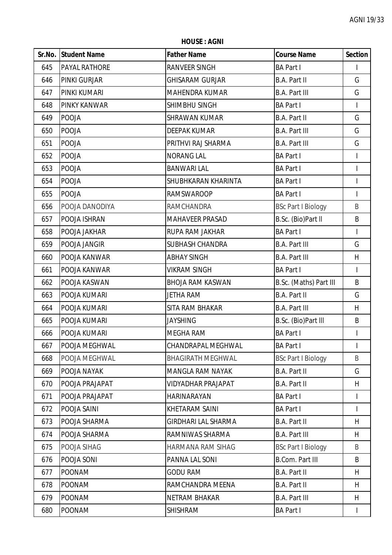**HOUSE : AGNI**

|     | Sr.No. Student Name  | <b>Father Name</b>         | <b>Course Name</b>        | <b>Section</b>           |
|-----|----------------------|----------------------------|---------------------------|--------------------------|
| 645 | <b>PAYAL RATHORE</b> | <b>RANVEER SINGH</b>       | <b>BA Part I</b>          |                          |
| 646 | <b>PINKI GURJAR</b>  | <b>GHISARAM GURJAR</b>     | <b>B.A. Part II</b>       | G                        |
| 647 | PINKI KUMARI         | <b>MAHENDRA KUMAR</b>      | <b>B.A. Part III</b>      | G                        |
| 648 | PINKY KANWAR         | SHIMBHU SINGH              | <b>BA Part I</b>          | $\mathsf{I}$             |
| 649 | <b>POOJA</b>         | <b>SHRAWAN KUMAR</b>       | <b>B.A. Part II</b>       | G                        |
| 650 | <b>POOJA</b>         | <b>DEEPAK KUMAR</b>        | <b>B.A. Part III</b>      | G                        |
| 651 | <b>POOJA</b>         | PRITHVI RAJ SHARMA         | <b>B.A. Part III</b>      | G                        |
| 652 | <b>POOJA</b>         | <b>NORANG LAL</b>          | <b>BA Part I</b>          | $\mathsf{I}$             |
| 653 | <b>POOJA</b>         | <b>BANWARI LAL</b>         | <b>BA Part I</b>          | $\overline{\phantom{a}}$ |
| 654 | <b>POOJA</b>         | SHUBHKARAN KHARINTA        | <b>BA Part I</b>          | $\mathsf{I}$             |
| 655 | <b>POOJA</b>         | <b>RAMSWAROOP</b>          | <b>BA Part I</b>          | $\mathsf{I}$             |
| 656 | POOJA DANODIYA       | <b>RAMCHANDRA</b>          | <b>BSc Part I Biology</b> | B                        |
| 657 | POOJA ISHRAN         | <b>MAHAVEER PRASAD</b>     | B.Sc. (Bio)Part II        | B                        |
| 658 | POOJA JAKHAR         | RUPA RAM JAKHAR            | <b>BA Part I</b>          | $\mathsf{I}$             |
| 659 | POOJA JANGIR         | <b>SUBHASH CHANDRA</b>     | <b>B.A. Part III</b>      | G                        |
| 660 | POOJA KANWAR         | <b>ABHAY SINGH</b>         | <b>B.A. Part III</b>      | H                        |
| 661 | POOJA KANWAR         | <b>VIKRAM SINGH</b>        | <b>BA Part I</b>          | $\overline{1}$           |
| 662 | POOJA KASWAN         | <b>BHOJA RAM KASWAN</b>    | B.Sc. (Maths) Part III    | B                        |
| 663 | POOJA KUMARI         | <b>JETHA RAM</b>           | B.A. Part II              | G                        |
| 664 | POOJA KUMARI         | SITA RAM BHAKAR            | <b>B.A. Part III</b>      | H                        |
| 665 | POOJA KUMARI         | <b>JAYSHING</b>            | B.Sc. (Bio)Part III       | B                        |
| 666 | POOJA KUMARI         | MEGHA RAM                  | <b>BA Part I</b>          | $\overline{\phantom{a}}$ |
| 667 | POOJA MEGHWAL        | CHANDRAPAL MEGHWAL         | <b>BA Part I</b>          |                          |
| 668 | POOJA MEGHWAL        | <b>BHAGIRATH MEGHWAL</b>   | <b>BSc Part I Biology</b> | B                        |
| 669 | POOJA NAYAK          | <b>MANGLA RAM NAYAK</b>    | B.A. Part II              | G                        |
| 670 | POOJA PRAJAPAT       | <b>VIDYADHAR PRAJAPAT</b>  | B.A. Part II              | H                        |
| 671 | POOJA PRAJAPAT       | HARINARAYAN                | <b>BA Part I</b>          | I                        |
| 672 | POOJA SAINI          | KHETARAM SAINI             | <b>BA Part I</b>          | $\mathbf{I}$             |
| 673 | POOJA SHARMA         | <b>GIRDHARI LAL SHARMA</b> | B.A. Part II              | H                        |
| 674 | POOJA SHARMA         | RAMNIWAS SHARMA            | <b>B.A. Part III</b>      | H                        |
| 675 | POOJA SIHAG          | HARMANA RAM SIHAG          | <b>BSc Part I Biology</b> | B                        |
| 676 | POOJA SONI           | PANNA LAL SONI             | <b>B.Com. Part III</b>    | B                        |
| 677 | <b>POONAM</b>        | <b>GODU RAM</b>            | <b>B.A. Part II</b>       | H                        |
| 678 | <b>POONAM</b>        | RAMCHANDRA MEENA           | B.A. Part II              | H                        |
| 679 | <b>POONAM</b>        | <b>NETRAM BHAKAR</b>       | <b>B.A. Part III</b>      | H                        |
| 680 | <b>POONAM</b>        | <b>SHISHRAM</b>            | <b>BA Part I</b>          | $\mathbf{I}$             |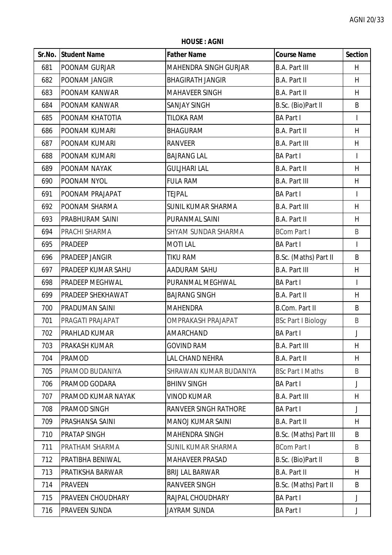|        | <b>HOUSE: AGNI</b>  |                         |                      |                |  |  |
|--------|---------------------|-------------------------|----------------------|----------------|--|--|
| Sr.No. | <b>Student Name</b> | <b>Father Name</b>      | <b>Course Name</b>   | <b>Section</b> |  |  |
| 681    | POONAM GURJAR       | MAHENDRA SINGH GURJAR   | <b>B.A. Part III</b> | H              |  |  |
| 682    | POONAM JANGIR       | <b>BHAGIRATH JANGIR</b> | B.A. Part II         | H              |  |  |
| 683    | POONAM KANWAR       | <b>MAHAVEER SINGH</b>   | B.A. Part II         | H              |  |  |
| 684    | POONAM KANWAR       | <b>SANJAY SINGH</b>     | B.Sc. (Bio)Part II   | B              |  |  |
| 685    | POONAM KHATOTIA     | <b>TILOKA RAM</b>       | <b>BA Part I</b>     |                |  |  |
| 686    | POONAM KUMARI       | <b>BHAGURAM</b>         | B.A. Part II         | H              |  |  |
| 687    | POONAM KUMARI       | <b>RANVEER</b>          | <b>B.A. Part III</b> | H              |  |  |
| 688    | POONAM KUMARI       | <b>BAJRANG LAL</b>      | <b>BA Part I</b>     |                |  |  |
| 689    | POONAM NAYAK        | <b>GULJHARI LAL</b>     | B.A. Part II         | H              |  |  |
| 690    | POONAM NYOL         | <b>FULA RAM</b>         | <b>B.A. Part III</b> | H              |  |  |
| 691    | POONAM PRAJAPAT     | <b>TEJPAL</b>           | <b>BA Part I</b>     |                |  |  |
| 692    | POONAM SHARMA       | SUNIL KUMAR SHARMA      | <b>B.A. Part III</b> | H              |  |  |
| 693    | PRABHURAM SAINI     | PURANMAL SAINI          | B.A. Part II         | H              |  |  |
| 694    | PRACHI SHARMA       | SHYAM SUNDAR SHARMA     | <b>BCom Part I</b>   | B              |  |  |
| LOE.   | <b>DDADEED</b>      | <b>MOTLLAL</b>          | DA Dort L            |                |  |  |

**HOUSE : AGNI**

| 682 | <b>POONAM JANGIR</b>      | <b>BHAGIRATH JANGIR</b>   | B.A. Part II              | H.           |
|-----|---------------------------|---------------------------|---------------------------|--------------|
| 683 | POONAM KANWAR             | <b>MAHAVEER SINGH</b>     | B.A. Part II              | H            |
| 684 | POONAM KANWAR             | <b>SANJAY SINGH</b>       | B.Sc. (Bio)Part II        | B            |
| 685 | POONAM KHATOTIA           | <b>TILOKA RAM</b>         | <b>BA Part I</b>          | $\mathsf{I}$ |
| 686 | POONAM KUMARI             | <b>BHAGURAM</b>           | B.A. Part II              | H            |
| 687 | POONAM KUMARI             | <b>RANVEER</b>            | <b>B.A. Part III</b>      | H            |
| 688 | POONAM KUMARI             | <b>BAJRANG LAL</b>        | <b>BA Part I</b>          | $\mathbf{I}$ |
| 689 | POONAM NAYAK              | <b>GULJHARI LAL</b>       | B.A. Part II              | H            |
| 690 | POONAM NYOL               | <b>FULA RAM</b>           | <b>B.A. Part III</b>      | H            |
| 691 | POONAM PRAJAPAT           | <b>TEJPAL</b>             | <b>BA Part I</b>          |              |
| 692 | POONAM SHARMA             | <b>SUNIL KUMAR SHARMA</b> | <b>B.A. Part III</b>      | H.           |
| 693 | PRABHURAM SAINI           | PURANMAL SAINI            | B.A. Part II              | H            |
| 694 | PRACHI SHARMA             | SHYAM SUNDAR SHARMA       | <b>BCom Part I</b>        | B            |
| 695 | <b>PRADEEP</b>            | <b>MOTILAL</b>            | <b>BA Part I</b>          | $\mathbf{I}$ |
| 696 | PRADEEP JANGIR            | TIKU RAM                  | B.Sc. (Maths) Part II     | B            |
| 697 | <b>PRADEEP KUMAR SAHU</b> | AADURAM SAHU              | <b>B.A. Part III</b>      | H            |
| 698 | PRADEEP MEGHWAL           | PURANMAL MEGHWAL          | <b>BA Part I</b>          |              |
| 699 | PRADEEP SHEKHAWAT         | <b>BAJRANG SINGH</b>      | B.A. Part II              | H            |
| 700 | PRADUMAN SAINI            | <b>MAHENDRA</b>           | <b>B.Com. Part II</b>     | B            |
| 701 | PRAGATI PRAJAPAT          | <b>OMPRAKASH PRAJAPAT</b> | <b>BSc Part I Biology</b> | B            |
| 702 | PRAHLAD KUMAR             | AMARCHAND                 | <b>BA Part I</b>          | J            |
| 703 | PRAKASH KUMAR             | <b>GOVIND RAM</b>         | <b>B.A. Part III</b>      | H            |
| 704 | <b>PRAMOD</b>             | LAL CHAND NEHRA           | B.A. Part II              | H            |
| 705 | PRAMOD BUDANIYA           | SHRAWAN KUMAR BUDANIYA    | <b>BSc Part I Maths</b>   | B            |
| 706 | PRAMOD GODARA             | <b>BHINV SINGH</b>        | <b>BA Part I</b>          | J            |
| 707 | PRAMOD KUMAR NAYAK        | <b>VINOD KUMAR</b>        | <b>B.A. Part III</b>      | H            |
| 708 | PRAMOD SINGH              | RANVEER SINGH RATHORE     | <b>BA Part I</b>          | J            |
| 709 | PRASHANSA SAINI           | <b>MANOJ KUMAR SAINI</b>  | B.A. Part II              | H            |
| 710 | PRATAP SINGH              | <b>MAHENDRA SINGH</b>     | B.Sc. (Maths) Part III    | B            |
| 711 | PRATHAM SHARMA            | <b>SUNIL KUMAR SHARMA</b> | <b>BCom Part I</b>        | B            |
| 712 | PRATIBHA BENIWAL          | <b>MAHAVEER PRASAD</b>    | B.Sc. (Bio)Part II        | B            |
| 713 | PRATIKSHA BARWAR          | <b>BRIJ LAL BARWAR</b>    | <b>B.A. Part II</b>       | H            |
| 714 | <b>PRAVEEN</b>            | <b>RANVEER SINGH</b>      | B.Sc. (Maths) Part II     | B            |
| 715 | PRAVEEN CHOUDHARY         | RAJPAL CHOUDHARY          | <b>BA Part I</b>          | J            |
| 716 | PRAVEEN SUNDA             | JAYRAM SUNDA              | <b>BA Part I</b>          | J            |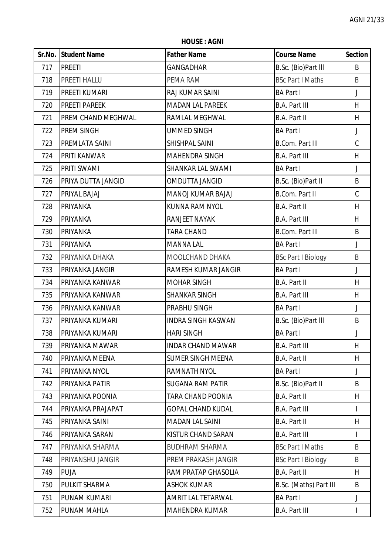**HOUSE : AGNI**

|     | Sr.No. Student Name       | <b>Father Name</b>        | <b>Course Name</b>        | <b>Section</b> |
|-----|---------------------------|---------------------------|---------------------------|----------------|
| 717 | <b>PREETI</b>             | GANGADHAR                 | B.Sc. (Bio)Part III       | B              |
| 718 | PREETI HALLU              | PEMA RAM                  | <b>BSc Part I Maths</b>   | B              |
| 719 | PREETI KUMARI             | RAJ KUMAR SAINI           | <b>BA Part I</b>          | J              |
| 720 | <b>PREETI PAREEK</b>      | <b>MADAN LAL PAREEK</b>   | <b>B.A. Part III</b>      | H              |
| 721 | <b>PREM CHAND MEGHWAL</b> | RAMLAL MEGHWAL            | B.A. Part II              | H              |
| 722 | PREM SINGH                | <b>UMMED SINGH</b>        | <b>BA Part I</b>          | J              |
| 723 | PREMLATA SAINI            | SHISHPAL SAINI            | <b>B.Com. Part III</b>    | $\mathsf C$    |
| 724 | PRITI KANWAR              | MAHENDRA SINGH            | <b>B.A. Part III</b>      | H              |
| 725 | PRITI SWAMI               | SHANKAR LAL SWAMI         | <b>BA Part I</b>          | J              |
| 726 | PRIYA DUTTA JANGID        | OMDUTTA JANGID            | B.Sc. (Bio)Part II        | B              |
| 727 | PRIYAL BAJAJ              | MANOJ KUMAR BAJAJ         | <b>B.Com. Part II</b>     | $\mathsf C$    |
| 728 | PRIYANKA                  | KUNNA RAM NYOL            | <b>B.A. Part II</b>       | H              |
| 729 | <b>PRIYANKA</b>           | RANJEET NAYAK             | <b>B.A. Part III</b>      | H              |
| 730 | <b>PRIYANKA</b>           | <b>TARA CHAND</b>         | <b>B.Com. Part III</b>    | B              |
| 731 | <b>PRIYANKA</b>           | <b>MANNA LAL</b>          | <b>BA Part I</b>          | J              |
| 732 | PRIYANKA DHAKA            | MOOLCHAND DHAKA           | <b>BSc Part I Biology</b> | B              |
| 733 | PRIYANKA JANGIR           | RAMESH KUMAR JANGIR       | <b>BA Part I</b>          | J              |
| 734 | PRIYANKA KANWAR           | <b>MOHAR SINGH</b>        | B.A. Part II              | H              |
| 735 | PRIYANKA KANWAR           | <b>SHANKAR SINGH</b>      | <b>B.A. Part III</b>      | H              |
| 736 | PRIYANKA KANWAR           | PRABHU SINGH              | <b>BA Part I</b>          | J              |
| 737 | PRIYANKA KUMARI           | <b>INDRA SINGH KASWAN</b> | B.Sc. (Bio)Part III       | B              |
| 738 | PRIYANKA KUMARI           | <b>HARI SINGH</b>         | <b>BA Part I</b>          | J              |
| 739 | <b>PRIYANKA MAWAR</b>     | <b>INDAR CHAND MAWAR</b>  | <b>B.A. Part III</b>      | H              |
| 740 | PRIYANKA MEENA            | <b>SUMER SINGH MEENA</b>  | <b>B.A. Part II</b>       | H              |
| 741 | PRIYANKA NYOL             | RAMNATH NYOL              | <b>BA Part I</b>          | J              |
| 742 | PRIYANKA PATIR            | <b>SUGANA RAM PATIR</b>   | B.Sc. (Bio)Part II        | B              |
| 743 | PRIYANKA POONIA           | TARA CHAND POONIA         | <b>B.A. Part II</b>       | H              |
| 744 | PRIYANKA PRAJAPAT         | <b>GOPAL CHAND KUDAL</b>  | <b>B.A. Part III</b>      | T              |
| 745 | PRIYANKA SAINI            | <b>MADAN LAL SAINI</b>    | <b>B.A. Part II</b>       | H              |
| 746 | PRIYANKA SARAN            | KISTUR CHAND SARAN        | <b>B.A. Part III</b>      |                |
| 747 | PRIYANKA SHARMA           | <b>BUDHRAM SHARMA</b>     | <b>BSc Part I Maths</b>   | B              |
| 748 | PRIYANSHU JANGIR          | PREM PRAKASH JANGIR       | <b>BSc Part I Biology</b> | B              |
| 749 | <b>PUJA</b>               | RAM PRATAP GHASOLIA       | <b>B.A. Part II</b>       | H              |
| 750 | PULKIT SHARMA             | <b>ASHOK KUMAR</b>        | B.Sc. (Maths) Part III    | B              |
| 751 | <b>PUNAM KUMARI</b>       | AMRIT LAL TETARWAL        | <b>BA Part I</b>          | J              |
| 752 | PUNAM MAHLA               | MAHENDRA KUMAR            | <b>B.A. Part III</b>      |                |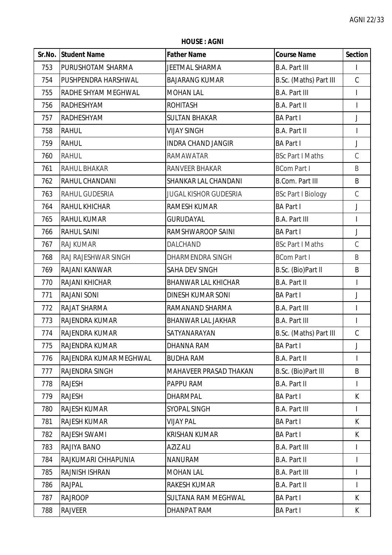**HOUSE : AGNI**

|     | Sr.No. Student Name           | <b>Father Name</b>           | <b>Course Name</b>        | <b>Section</b> |
|-----|-------------------------------|------------------------------|---------------------------|----------------|
| 753 | <b>PURUSHOTAM SHARMA</b>      | JEETMAL SHARMA               | <b>B.A. Part III</b>      |                |
| 754 | <b>PUSHPENDRA HARSHWAL</b>    | <b>BAJARANG KUMAR</b>        | B.Sc. (Maths) Part III    | $\mathcal{C}$  |
| 755 | <b>RADHE SHYAM MEGHWAL</b>    | <b>MOHAN LAL</b>             | <b>B.A. Part III</b>      | L              |
| 756 | <b>RADHESHYAM</b>             | <b>ROHITASH</b>              | <b>B.A. Part II</b>       | $\overline{1}$ |
| 757 | RADHESHYAM                    | <b>SULTAN BHAKAR</b>         | <b>BA Part I</b>          | J              |
| 758 | <b>RAHUL</b>                  | <b>VIJAY SINGH</b>           | <b>B.A. Part II</b>       | $\overline{1}$ |
| 759 | <b>RAHUL</b>                  | <b>INDRA CHAND JANGIR</b>    | <b>BA Part I</b>          | J              |
| 760 | <b>RAHUL</b>                  | <b>RAMAWATAR</b>             | <b>BSc Part I Maths</b>   | $\mathsf C$    |
| 761 | <b>RAHUL BHAKAR</b>           | RANVEER BHAKAR               | <b>BCom Part I</b>        | B              |
| 762 | <b>RAHUL CHANDANI</b>         | SHANKAR LAL CHANDANI         | <b>B.Com. Part III</b>    | B              |
| 763 | RAHUL GUDESRIA                | <b>JUGAL KISHOR GUDESRIA</b> | <b>BSc Part I Biology</b> | $\mathsf C$    |
| 764 | <b>RAHUL KHICHAR</b>          | RAMESH KUMAR                 | <b>BA Part I</b>          | J              |
| 765 | <b>RAHUL KUMAR</b>            | <b>GURUDAYAL</b>             | <b>B.A. Part III</b>      | I              |
| 766 | <b>RAHUL SAINI</b>            | RAMSHWAROOP SAINI            | <b>BA Part I</b>          | J              |
| 767 | <b>RAJ KUMAR</b>              | DALCHAND                     | <b>BSc Part I Maths</b>   | $\mathsf C$    |
| 768 | RAJ RAJESHWAR SINGH           | DHARMENDRA SINGH             | <b>BCom Part I</b>        | B              |
| 769 | <b>RAJANI KANWAR</b>          | SAHA DEV SINGH               | B.Sc. (Bio)Part II        | B              |
| 770 | <b>RAJANI KHICHAR</b>         | <b>BHANWAR LAL KHICHAR</b>   | <b>B.A. Part II</b>       | I              |
| 771 | <b>RAJANI SONI</b>            | <b>DINESH KUMAR SONI</b>     | <b>BA Part I</b>          | J              |
| 772 | <b>RAJAT SHARMA</b>           | RAMANAND SHARMA              | <b>B.A. Part III</b>      | I              |
| 773 | RAJENDRA KUMAR                | <b>BHANWAR LAL JAKHAR</b>    | <b>B.A. Part III</b>      | I              |
| 774 | <b>RAJENDRA KUMAR</b>         | SATYANARAYAN                 | B.Sc. (Maths) Part III    | $\mathsf C$    |
| 775 | <b>RAJENDRA KUMAR</b>         | <b>DHANNA RAM</b>            | <b>BA Part I</b>          | J              |
| 776 | <b>RAJENDRA KUMAR MEGHWAL</b> | <b>BUDHA RAM</b>             | <b>B.A. Part II</b>       |                |
| 777 | <b>RAJENDRA SINGH</b>         | MAHAVEER PRASAD THAKAN       | B.Sc. (Bio)Part III       | B              |
| 778 | <b>RAJESH</b>                 | PAPPU RAM                    | <b>B.A. Part II</b>       | $\mathsf{I}$   |
| 779 | <b>RAJESH</b>                 | <b>DHARMPAL</b>              | <b>BA Part I</b>          | K              |
| 780 | <b>RAJESH KUMAR</b>           | SYOPAL SINGH                 | <b>B.A. Part III</b>      | L              |
| 781 | <b>RAJESH KUMAR</b>           | <b>VIJAY PAL</b>             | <b>BA Part I</b>          | K              |
| 782 | <b>RAJESH SWAMI</b>           | <b>KRISHAN KUMAR</b>         | <b>BA Part I</b>          | K              |
| 783 | RAJIYA BANO                   | AZIZ ALI                     | <b>B.A. Part III</b>      |                |
| 784 | RAJKUMARI CHHAPUNIA           | <b>NANURAM</b>               | B.A. Part II              |                |
| 785 | <b>RAJNISH ISHRAN</b>         | <b>MOHAN LAL</b>             | <b>B.A. Part III</b>      | L              |
| 786 | <b>RAJPAL</b>                 | <b>RAKESH KUMAR</b>          | <b>B.A. Part II</b>       | $\overline{1}$ |
| 787 | <b>RAJROOP</b>                | <b>SULTANA RAM MEGHWAL</b>   | <b>BA Part I</b>          | K              |
| 788 | <b>RAJVEER</b>                | DHANPAT RAM                  | <b>BA Part I</b>          | K              |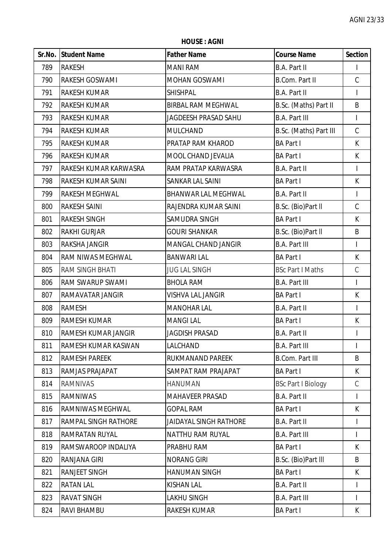**HOUSE : AGNI**

|     | Sr.No. Student Name          | <b>Father Name</b>            | <b>Course Name</b>        | <b>Section</b>           |
|-----|------------------------------|-------------------------------|---------------------------|--------------------------|
| 789 | <b>RAKESH</b>                | <b>MANI RAM</b>               | <b>B.A. Part II</b>       |                          |
| 790 | <b>RAKESH GOSWAMI</b>        | <b>MOHAN GOSWAMI</b>          | <b>B.Com. Part II</b>     | $\mathcal{C}$            |
| 791 | <b>RAKESH KUMAR</b>          | <b>SHISHPAL</b>               | <b>B.A. Part II</b>       |                          |
| 792 | <b>RAKESH KUMAR</b>          | <b>BIRBAL RAM MEGHWAL</b>     | B.Sc. (Maths) Part II     | B                        |
| 793 | <b>RAKESH KUMAR</b>          | <b>JAGDEESH PRASAD SAHU</b>   | <b>B.A. Part III</b>      | T                        |
| 794 | <b>RAKESH KUMAR</b>          | MULCHAND                      | B.Sc. (Maths) Part III    | $\mathsf C$              |
| 795 | <b>RAKESH KUMAR</b>          | PRATAP RAM KHAROD             | <b>BA Part I</b>          | K                        |
| 796 | <b>RAKESH KUMAR</b>          | MOOL CHAND JEVALIA            | <b>BA Part I</b>          | K                        |
| 797 | <b>RAKESH KUMAR KARWASRA</b> | RAM PRATAP KARWASRA           | <b>B.A. Part II</b>       | $\overline{\phantom{a}}$ |
| 798 | <b>RAKESH KUMAR SAINI</b>    | SANKAR LAL SAINI              | <b>BA Part I</b>          | K                        |
| 799 | <b>RAKESH MEGHWAL</b>        | BHANWAR LAL MEGHWAL           | <b>B.A. Part II</b>       | I                        |
| 800 | <b>RAKESH SAINI</b>          | RAJENDRA KUMAR SAINI          | B.Sc. (Bio)Part II        | $\mathcal{C}$            |
| 801 | <b>RAKESH SINGH</b>          | SAMUDRA SINGH                 | <b>BA Part I</b>          | K                        |
| 802 | <b>RAKHI GURJAR</b>          | <b>GOURI SHANKAR</b>          | B.Sc. (Bio)Part II        | B                        |
| 803 | <b>RAKSHA JANGIR</b>         | MANGAL CHAND JANGIR           | <b>B.A. Part III</b>      | $\mathsf{I}$             |
| 804 | <b>RAM NIWAS MEGHWAL</b>     | <b>BANWARI LAL</b>            | <b>BA Part I</b>          | K                        |
| 805 | <b>RAM SINGH BHATI</b>       | <b>JUG LAL SINGH</b>          | <b>BSc Part I Maths</b>   | $\mathsf C$              |
| 806 | <b>RAM SWARUP SWAMI</b>      | <b>BHOLA RAM</b>              | <b>B.A. Part III</b>      | L                        |
| 807 | <b>RAMAVATAR JANGIR</b>      | VISHVA LAL JANGIR             | <b>BA Part I</b>          | K                        |
| 808 | <b>RAMESH</b>                | <b>MANOHAR LAL</b>            | B.A. Part II              | $\overline{\phantom{a}}$ |
| 809 | <b>RAMESH KUMAR</b>          | <b>MANGILAL</b>               | <b>BA Part I</b>          | K                        |
| 810 | <b>RAMESH KUMAR JANGIR</b>   | <b>JAGDISH PRASAD</b>         | <b>B.A. Part II</b>       |                          |
| 811 | RAMESH KUMAR KASWAN          | LALCHAND                      | <b>B.A. Part III</b>      | L                        |
| 812 | <b>RAMESH PAREEK</b>         | RUKMANAND PAREEK              | <b>B.Com. Part III</b>    | B                        |
| 813 | <b>RAMJAS PRAJAPAT</b>       | SAMPAT RAM PRAJAPAT           | <b>BA Part I</b>          | K                        |
| 814 | <b>RAMNIVAS</b>              | <b>HANUMAN</b>                | <b>BSc Part I Biology</b> | C                        |
| 815 | <b>RAMNIWAS</b>              | <b>MAHAVEER PRASAD</b>        | <b>B.A. Part II</b>       | I                        |
| 816 | <b>RAMNIWAS MEGHWAL</b>      | <b>GOPAL RAM</b>              | <b>BA Part I</b>          | K                        |
| 817 | <b>RAMPAL SINGH RATHORE</b>  | <b>JAIDAYAL SINGH RATHORE</b> | <b>B.A. Part II</b>       | I                        |
| 818 | <b>RAMRATAN RUYAL</b>        | <b>NATTHU RAM RUYAL</b>       | <b>B.A. Part III</b>      | L                        |
| 819 | RAMSWAROOP INDALIYA          | PRABHU RAM                    | <b>BA Part I</b>          | K                        |
| 820 | <b>RANJANA GIRI</b>          | <b>NORANG GIRI</b>            | B.Sc. (Bio)Part III       | B                        |
| 821 | <b>RANJEET SINGH</b>         | <b>HANUMAN SINGH</b>          | <b>BA Part I</b>          | K                        |
| 822 | <b>RATAN LAL</b>             | <b>KISHAN LAL</b>             | <b>B.A. Part II</b>       | $\mathsf{I}$             |
| 823 | <b>RAVAT SINGH</b>           | LAKHU SINGH                   | <b>B.A. Part III</b>      | L                        |
| 824 | <b>RAVI BHAMBU</b>           | RAKESH KUMAR                  | <b>BA Part I</b>          | K                        |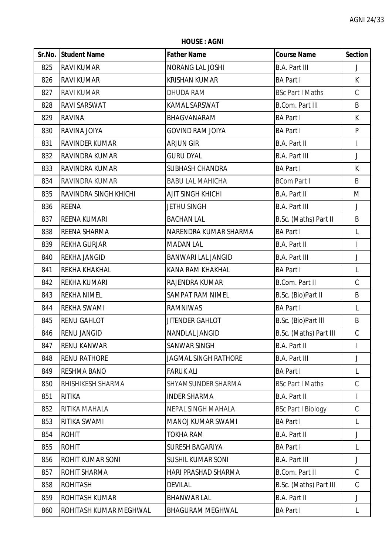**HOUSE : AGNI**

|     | Sr.No. Student Name    | <b>Father Name</b>          | <b>Course Name</b>        | <b>Section</b>           |
|-----|------------------------|-----------------------------|---------------------------|--------------------------|
| 825 | <b>RAVI KUMAR</b>      | NORANG LAL JOSHI            | <b>B.A. Part III</b>      | J                        |
| 826 | <b>RAVI KUMAR</b>      | <b>KRISHAN KUMAR</b>        | <b>BA Part I</b>          | $\mathsf{K}$             |
| 827 | <b>RAVI KUMAR</b>      | DHUDA RAM                   | <b>BSc Part I Maths</b>   | $\mathsf C$              |
| 828 | RAVI SARSWAT           | KAMAL SARSWAT               | <b>B.Com. Part III</b>    | B                        |
| 829 | <b>RAVINA</b>          | BHAGVANARAM                 | <b>BA Part I</b>          | K                        |
| 830 | RAVINA JOIYA           | <b>GOVIND RAM JOIYA</b>     | <b>BA Part I</b>          | $\mathsf{P}$             |
| 831 | <b>RAVINDER KUMAR</b>  | <b>ARJUN GIR</b>            | B.A. Part II              | $\overline{\phantom{a}}$ |
| 832 | RAVINDRA KUMAR         | <b>GURU DYAL</b>            | <b>B.A. Part III</b>      | J                        |
| 833 | RAVINDRA KUMAR         | <b>SUBHASH CHANDRA</b>      | <b>BA Part I</b>          | K                        |
| 834 | RAVINDRA KUMAR         | <b>BABU LAL MAHICHA</b>     | <b>BCom Part I</b>        | B                        |
| 835 | RAVINDRA SINGH KHICHI  | <b>AJIT SINGH KHICHI</b>    | B.A. Part II              | M                        |
| 836 | <b>REENA</b>           | <b>JETHU SINGH</b>          | <b>B.A. Part III</b>      | J                        |
| 837 | <b>REENA KUMARI</b>    | <b>BACHAN LAL</b>           | B.Sc. (Maths) Part II     | B                        |
| 838 | REENA SHARMA           | NARENDRA KUMAR SHARMA       | <b>BA Part I</b>          | L                        |
| 839 | <b>REKHA GURJAR</b>    | <b>MADAN LAL</b>            | B.A. Part II              | $\overline{\phantom{a}}$ |
| 840 | <b>REKHA JANGID</b>    | <b>BANWARI LAL JANGID</b>   | <b>B.A. Part III</b>      | J                        |
| 841 | REKHA KHAKHAL          | KANA RAM KHAKHAL            | <b>BA Part I</b>          | L                        |
| 842 | <b>REKHA KUMARI</b>    | RAJENDRA KUMAR              | B.Com. Part II            | $\mathsf C$              |
| 843 | <b>REKHA NIMEL</b>     | SAMPAT RAM NIMEL            | B.Sc. (Bio)Part II        | B                        |
| 844 | <b>REKHA SWAMI</b>     | <b>RAMNIWAS</b>             | <b>BA Part I</b>          | L                        |
| 845 | <b>RENU GAHLOT</b>     | <b>JITENDER GAHLOT</b>      | B.Sc. (Bio)Part III       | B                        |
| 846 | <b>RENU JANGID</b>     | NANDLAL JANGID              | B.Sc. (Maths) Part III    | $\mathsf C$              |
| 847 | <b>RENU KANWAR</b>     | <b>SANWAR SINGH</b>         | <b>B.A. Part II</b>       |                          |
| 848 | <b>RENU RATHORE</b>    | <b>JAGMAL SINGH RATHORE</b> | <b>B.A. Part III</b>      | J                        |
| 849 | <b>RESHMA BANO</b>     | <b>FARUK ALI</b>            | <b>BA Part I</b>          | L                        |
| 850 | RHISHIKESH SHARMA      | SHYAMSUNDER SHARMA          | <b>BSc Part I Maths</b>   | $\mathcal{C}$            |
| 851 | <b>RITIKA</b>          | <b>INDER SHARMA</b>         | <b>B.A. Part II</b>       |                          |
| 852 | RITIKA MAHALA          | <b>NEPAL SINGH MAHALA</b>   | <b>BSc Part I Biology</b> | $\mathcal{C}$            |
| 853 | RITIKA SWAMI           | <b>MANOJ KUMAR SWAMI</b>    | <b>BA Part I</b>          | L                        |
| 854 | <b>ROHIT</b>           | <b>TOKHA RAM</b>            | B.A. Part II              | J                        |
| 855 | <b>ROHIT</b>           | <b>SURESH BAGARIYA</b>      | <b>BA Part I</b>          | L                        |
| 856 | ROHIT KUMAR SONI       | <b>SUSHIL KUMAR SONI</b>    | <b>B.A. Part III</b>      | J                        |
| 857 | <b>ROHIT SHARMA</b>    | HARI PRASHAD SHARMA         | B.Com. Part II            | $\mathcal{C}$            |
| 858 | <b>ROHITASH</b>        | <b>DEVILAL</b>              | B.Sc. (Maths) Part III    | C                        |
| 859 | <b>ROHITASH KUMAR</b>  | <b>BHANWAR LAL</b>          | <b>B.A. Part II</b>       | J                        |
| 860 | ROHITASH KUMAR MEGHWAL | <b>BHAGURAM MEGHWAL</b>     | <b>BA Part I</b>          | L                        |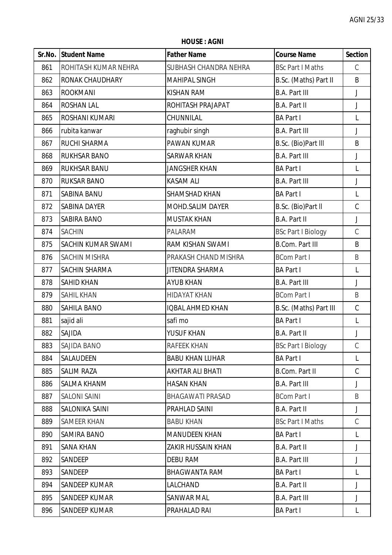**Sr.No. Student Name Father Name Course Name Section** 861 ROHITASH KUMAR NEHRA SUBHASH CHANDRA NEHRA BSc Part I Maths C 862 RONAK CHAUDHARY MAHIPAL SINGH B.Sc. (Maths) Part II B 863 |ROOKMANI |KISHAN RAM |B.A. Part III J 864 ROSHAN LAL ROHITASH PRAJAPAT B.A. Part II J 865 ROSHANI KUMARI CHUNNILAL BA Part I L 866 | rubita kanwar | raghubir singh | B.A. Part III J 867 RUCHI SHARMA PAWAN KUMAR B.Sc. (Bio)Part lll B 868 RUKHSAR BANO SARWAR KHAN B.A. Part III J 869 RUKHSAR BANU JANGSHER KHAN BA Part I L 870 RUKSAR BANO KASAM ALI B.A. Part III J 871 SABINA BANU SHAMSHAD KHAN BA Part I L 872 SABINA DAYER MOHD.SALIM DAYER B.Sc. (Bio)Part II C 873 SABIRA BANO MUSTAK KHAN B.A. Part II J 874 SACHIN PALARAM BSc Part I Biology C 875 SACHIN KUMAR SWAMI RAM KISHAN SWAMI B.Com. Part III B 876 SACHIN MISHRA PRAKASH CHAND MISHRA BCom Part I B 877 SACHIN SHARMA JITENDRA SHARMA BA Part I L 878 SAHID KHAN AYUB KHAN B.A. Part III J 879 SAHIL KHAN HIDAYAT KHAN BCom Part I B 880 SAHILA BANO IQBAL AHMED KHAN B.Sc. (Maths) Part III C 881 sajid ali safi mo BA Part I L 882 SAJIDA YUSUF KHAN B.A. Part II J 883 SAJIDA BANO RAFEEK KHAN BSC Part I Biology C 884 SALAUDEEN BABU KHAN LUHAR BA Part I L 885 SALIM RAZA AKHTAR ALI BHATI B.Com. Part II C 886 SALMA KHANM HASAN KHAN B.A. Part III J 887 SALONI SAINI BHAGAWATI PRASAD BCom Part I B 888 SALONIKA SAINI PRAHLAD SAINI B.A. Part II J 889 SAMEER KHAN BABU KHAN BABU KHAN BSC Part I Maths C 890 SAMIRA BANO MANUDEEN KHAN BA Part I L 891 SANA KHAN ZAKIR HUSSAIN KHAN B.A. Part II J 892 SANDEEP DEBU RAM B.A. Part III J 893 SANDEEP BHAGWANTA RAM BA Part I L 894 SANDEEP KUMAR LALCHAND B.A. Part II J 895 SANDEEP KUMAR SANWAR MAL SANWAR MAL B.A. Part III J

896 SANDEEP KUMAR PRAHALAD RAI BA Part I L

**HOUSE : AGNI**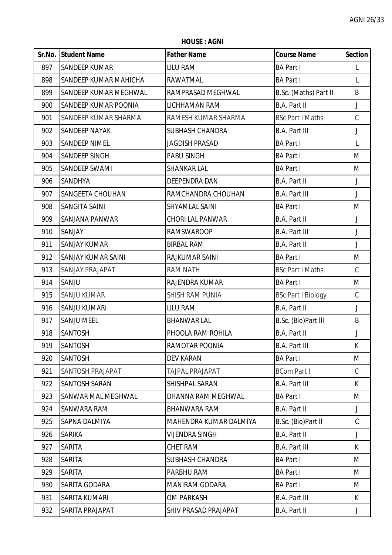**HOUSE : AGNI**

|     | <b>Sr.No. Student Name</b>   | <b>Father Name</b>          | <b>Course Name</b>        | <b>Section</b> |
|-----|------------------------------|-----------------------------|---------------------------|----------------|
| 897 | <b>SANDEEP KUMAR</b>         | <b>LILU RAM</b>             | <b>BA Part I</b>          | L              |
| 898 | <b>SANDEEP KUMAR MAHICHA</b> | RAWATMAL                    | <b>BA Part I</b>          | L              |
| 899 | SANDEEP KUMAR MEGHWAL        | RAMPRASAD MEGHWAL           | B.Sc. (Maths) Part II     | B              |
| 900 | <b>SANDEEP KUMAR POONIA</b>  | LICHHAMAN RAM               | <b>B.A. Part II</b>       | J              |
| 901 | SANDEEP KUMAR SHARMA         | RAMESH KUMAR SHARMA         | <b>BSc Part I Maths</b>   | $\mathsf C$    |
| 902 | <b>SANDEEP NAYAK</b>         | <b>SUBHASH CHANDRA</b>      | <b>B.A. Part III</b>      | J              |
| 903 | <b>SANDEEP NIMEL</b>         | <b>JAGDISH PRASAD</b>       | <b>BA Part I</b>          | L              |
| 904 | <b>SANDEEP SINGH</b>         | PABU SINGH                  | <b>BA Part I</b>          | M              |
| 905 | SANDEEP SWAMI                | <b>SHANKAR LAL</b>          | <b>BA Part I</b>          | M              |
| 906 | <b>SANDHYA</b>               | DEEPENDRA DAN               | B.A. Part II              | J              |
| 907 | <b>SANGEETA CHOUHAN</b>      | RAMCHANDRA CHOUHAN          | <b>B.A. Part III</b>      | J              |
| 908 | <b>SANGITA SAINI</b>         | SHYAMLAL SAINI              | <b>BA Part I</b>          | M              |
| 909 | SANJANA PANWAR               | <b>CHORI LAL PANWAR</b>     | B.A. Part II              | J              |
| 910 | SANJAY                       | <b>RAMSWAROOP</b>           | <b>B.A. Part III</b>      | $\mathsf J$    |
| 911 | <b>SANJAY KUMAR</b>          | <b>BIRBAL RAM</b>           | B.A. Part II              | J              |
| 912 | <b>SANJAY KUMAR SAINI</b>    | RAJKUMAR SAINI              | <b>BA Part I</b>          | M              |
| 913 | <b>SANJAY PRAJAPAT</b>       | <b>RAM NATH</b>             | <b>BSc Part I Maths</b>   | $\mathsf C$    |
| 914 | SANJU                        | RAJENDRA KUMAR              | <b>BA Part I</b>          | M              |
| 915 | <b>SANJU KUMAR</b>           | <b>SHISH RAM PUNIA</b>      | <b>BSc Part I Biology</b> | $\mathsf C$    |
| 916 | <b>SANJU KUMARI</b>          | <b>LILU RAM</b>             | B.A. Part II              | J              |
| 917 | <b>SANJU MEEL</b>            | <b>BHANWAR LAL</b>          | B.Sc. (Bio)Part III       | B              |
| 918 | <b>SANTOSH</b>               | PHOOLA RAM ROHILA           | B.A. Part II              | J              |
| 919 | <b>SANTOSH</b>               | RAMOTAR POONIA              | <b>B.A. Part III</b>      | K              |
| 920 | <b>SANTOSH</b>               | <b>DEV KARAN</b>            | <b>BA Part I</b>          | M              |
| 921 | SANTOSH PRAJAPAT             | <b>TAJPAL PRAJAPAT</b>      | <b>BCom Part I</b>        | $\mathcal{C}$  |
| 922 | SANTOSH SARAN                | SHISHPAL SARAN              | <b>B.A. Part III</b>      | K.             |
| 923 | SANWAR MAL MEGHWAL           | DHANNA RAM MEGHWAL          | <b>BA Part I</b>          | M              |
| 924 | SANWARA RAM                  | <b>BHANWARA RAM</b>         | B.A. Part II              | J              |
| 925 | SAPNA DALMIYA                | MAHENDRA KUMAR DALMIYA      | B.Sc. (Bio)Part II        | $\mathcal{C}$  |
| 926 | <b>SARIKA</b>                | <b>VIJENDRA SINGH</b>       | B.A. Part II              | J              |
| 927 | <b>SARITA</b>                | CHET RAM                    | <b>B.A. Part III</b>      | K.             |
| 928 | <b>SARITA</b>                | <b>SUBHASH CHANDRA</b>      | <b>BA Part I</b>          | M              |
| 929 | <b>SARITA</b>                | PARBHU RAM                  | <b>BA Part I</b>          | M              |
| 930 | SARITA GODARA                | <b>MANIRAM GODARA</b>       | <b>BA Part I</b>          | M              |
| 931 | SARITA KUMARI                | <b>OM PARKASH</b>           | <b>B.A. Part III</b>      | K.             |
| 932 | SARITA PRAJAPAT              | <b>SHIV PRASAD PRAJAPAT</b> | B.A. Part II              | J              |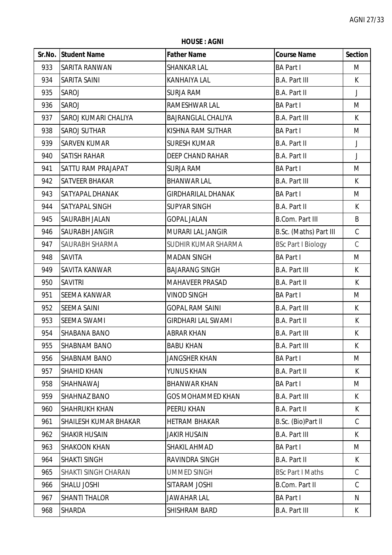**HOUSE : AGNI**

|     | Sr.No. Student Name          | <b>Father Name</b>        | <b>Course Name</b>        | <b>Section</b> |
|-----|------------------------------|---------------------------|---------------------------|----------------|
| 933 | <b>SARITA RANWAN</b>         | <b>SHANKAR LAL</b>        | <b>BA Part I</b>          | M              |
| 934 | <b>SARITA SAINI</b>          | <b>KANHAIYA LAL</b>       | <b>B.A. Part III</b>      | K.             |
| 935 | <b>SAROJ</b>                 | <b>SURJA RAM</b>          | <b>B.A. Part II</b>       | $\mathsf{J}$   |
| 936 | <b>SAROJ</b>                 | RAMESHWAR LAL             | <b>BA Part I</b>          | M              |
| 937 | SAROJ KUMARI CHALIYA         | <b>BAJRANGLAL CHALIYA</b> | <b>B.A. Part III</b>      | K              |
| 938 | <b>SAROJ SUTHAR</b>          | KISHNA RAM SUTHAR         | <b>BA Part I</b>          | M              |
| 939 | <b>SARVEN KUMAR</b>          | <b>SURESH KUMAR</b>       | <b>B.A. Part II</b>       | J              |
| 940 | <b>SATISH RAHAR</b>          | <b>DEEP CHAND RAHAR</b>   | <b>B.A. Part II</b>       | $\mathsf{J}$   |
| 941 | <b>SATTU RAM PRAJAPAT</b>    | <b>SURJA RAM</b>          | <b>BA Part I</b>          | M              |
| 942 | <b>SATVEER BHAKAR</b>        | <b>BHANWAR LAL</b>        | <b>B.A. Part III</b>      | K              |
| 943 | <b>SATYAPAL DHANAK</b>       | <b>GIRDHARILAL DHANAK</b> | <b>BA Part I</b>          | M              |
| 944 | <b>SATYAPAL SINGH</b>        | <b>SUPYAR SINGH</b>       | B.A. Part II              | K              |
| 945 | SAURABH JALAN                | <b>GOPAL JALAN</b>        | <b>B.Com. Part III</b>    | B              |
| 946 | <b>SAURABH JANGIR</b>        | MURARI LAL JANGIR         | B.Sc. (Maths) Part III    | $\mathsf C$    |
| 947 | SAURABH SHARMA               | SUDHIR KUMAR SHARMA       | <b>BSc Part I Biology</b> | $\mathsf C$    |
| 948 | <b>SAVITA</b>                | <b>MADAN SINGH</b>        | <b>BA Part I</b>          | M              |
| 949 | <b>SAVITA KANWAR</b>         | <b>BAJARANG SINGH</b>     | <b>B.A. Part III</b>      | K              |
| 950 | <b>SAVITRI</b>               | <b>MAHAVEER PRASAD</b>    | <b>B.A. Part II</b>       | $\mathsf{K}$   |
| 951 | <b>SEEMA KANWAR</b>          | <b>VINOD SINGH</b>        | <b>BA Part I</b>          | M              |
| 952 | <b>SEEMA SAINI</b>           | <b>GOPAL RAM SAINI</b>    | <b>B.A. Part III</b>      | K              |
| 953 | <b>SEEMA SWAMI</b>           | <b>GIRDHARI LAL SWAMI</b> | <b>B.A. Part II</b>       | K              |
| 954 | <b>SHABANA BANO</b>          | <b>ABRAR KHAN</b>         | <b>B.A. Part III</b>      | K              |
| 955 | <b>SHABNAM BANO</b>          | <b>BABU KHAN</b>          | <b>B.A. Part III</b>      | K.             |
| 956 | <b>SHABNAM BANO</b>          | <b>JANGSHER KHAN</b>      | <b>BA Part I</b>          | M              |
| 957 | <b>SHAHID KHAN</b>           | YUNUS KHAN                | <b>B.A. Part II</b>       | K              |
| 958 | <b>SHAHNAWAJ</b>             | <b>BHANWAR KHAN</b>       | <b>BA Part I</b>          | M              |
| 959 | <b>SHAHNAZ BANO</b>          | <b>GOS MOHAMMED KHAN</b>  | <b>B.A. Part III</b>      | K              |
| 960 | <b>SHAHRUKH KHAN</b>         | PEERU KHAN                | <b>B.A. Part II</b>       | K              |
| 961 | <b>SHAILESH KUMAR BHAKAR</b> | <b>HETRAM BHAKAR</b>      | B.Sc. (Bio)Part II        | C              |
| 962 | <b>SHAKIR HUSAIN</b>         | <b>JAKIR HUSAIN</b>       | <b>B.A. Part III</b>      | K.             |
| 963 | <b>SHAKOON KHAN</b>          | SHAKIL AHMAD              | <b>BA Part I</b>          | M              |
| 964 | <b>SHAKTI SINGH</b>          | RAVINDRA SINGH            | <b>B.A. Part II</b>       | K              |
| 965 | <b>SHAKTI SINGH CHARAN</b>   | <b>UMMED SINGH</b>        | <b>BSc Part I Maths</b>   | $\mathsf C$    |
| 966 | <b>SHALU JOSHI</b>           | SITARAM JOSHI             | <b>B.Com. Part II</b>     | $\mathsf C$    |
| 967 | <b>SHANTI THALOR</b>         | JAWAHAR LAL               | <b>BA Part I</b>          | N              |
| 968 | <b>SHARDA</b>                | SHISHRAM BARD             | <b>B.A. Part III</b>      | K.             |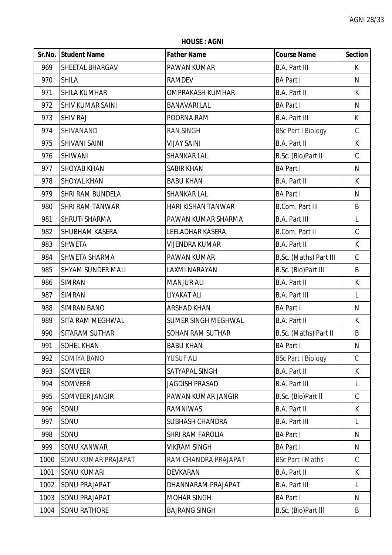**HOUSE : AGNI**

|      | Sr.No. Student Name      | <b>Father Name</b>         | <b>Course Name</b>        | <b>Section</b> |
|------|--------------------------|----------------------------|---------------------------|----------------|
| 969  | <b>SHEETAL BHARGAV</b>   | <b>PAWAN KUMAR</b>         | <b>B.A. Part III</b>      | K.             |
| 970  | <b>SHILA</b>             | <b>RAMDEV</b>              | <b>BA Part I</b>          | ${\sf N}$      |
| 971  | <b>SHILA KUMHAR</b>      | <b>OMPRAKASH KUMHAR</b>    | <b>B.A. Part II</b>       | K              |
| 972  | <b>SHIV KUMAR SAINI</b>  | <b>BANAVARI LAL</b>        | <b>BA Part I</b>          | N              |
| 973  | <b>SHIV RAJ</b>          | POORNA RAM                 | <b>B.A. Part III</b>      | $\mathsf{K}$   |
| 974  | SHIVANAND                | <b>RAN SINGH</b>           | <b>BSc Part I Biology</b> | $\mathsf C$    |
| 975  | <b>SHIVANI SAINI</b>     | <b>VIJAY SAINI</b>         | B.A. Part II              | K              |
| 976  | <b>SHIWANI</b>           | <b>SHANKAR LAL</b>         | B.Sc. (Bio)Part II        | $\mathsf C$    |
| 977  | <b>SHOYAB KHAN</b>       | <b>SABIR KHAN</b>          | <b>BA Part I</b>          | N              |
| 978  | <b>SHOYAL KHAN</b>       | <b>BABU KHAN</b>           | B.A. Part II              | $\mathsf{K}$   |
| 979  | <b>SHRI RAM BUNDELA</b>  | SHANKAR LAL                | <b>BA Part I</b>          | N              |
| 980  | <b>SHRI RAM TANWAR</b>   | HARI KISHAN TANWAR         | <b>B.Com. Part III</b>    | B              |
| 981  | <b>SHRUTI SHARMA</b>     | PAWAN KUMAR SHARMA         | <b>B.A. Part III</b>      | L              |
| 982  | <b>SHUBHAM KASERA</b>    | <b>LEELADHAR KASERA</b>    | <b>B.Com. Part II</b>     | $\mathsf C$    |
| 983  | <b>SHWETA</b>            | <b>VIJENDRA KUMAR</b>      | <b>B.A. Part II</b>       | K              |
| 984  | <b>SHWETA SHARMA</b>     | PAWAN KUMAR                | B.Sc. (Maths) Part III    | $\mathsf C$    |
| 985  | <b>SHYAM SUNDER MALI</b> | LAXMI NARAYAN              | B.Sc. (Bio)Part III       | B              |
| 986  | <b>SIMRAN</b>            | <b>MANJUR ALI</b>          | <b>B.A. Part II</b>       | K              |
| 987  | <b>SIMRAN</b>            | LIYAKAT ALI                | <b>B.A. Part III</b>      | L              |
| 988  | <b>SIMRAN BANO</b>       | <b>ARSHAD KHAN</b>         | <b>BA Part I</b>          | $\mathsf{N}$   |
| 989  | <b>SITA RAM MEGHWAL</b>  | <b>SUMER SINGH MEGHWAL</b> | B.A. Part II              | K              |
| 990  | SITARAM SUTHAR           | <b>SOHAN RAM SUTHAR</b>    | B.Sc. (Maths) Part II     | B              |
| 991  | <b>SOHEL KHAN</b>        | <b>BABU KHAN</b>           | <b>BA Part I</b>          | N              |
| 992  | <b>SOMIYA BANO</b>       | YUSUF ALI                  | <b>BSc Part I Biology</b> | $\mathcal{C}$  |
| 993  | <b>SOMVEER</b>           | SATYAPAL SINGH             | <b>B.A. Part II</b>       | K              |
| 994  | <b>SOMVEER</b>           | <b>JAGDISH PRASAD</b>      | <b>B.A. Part III</b>      | L              |
| 995  | SOMVEER JANGIR           | PAWAN KUMAR JANGIR         | B.Sc. (Bio)Part II        | $\mathsf{C}$   |
| 996  | SONU                     | <b>RAMNIWAS</b>            | <b>B.A. Part II</b>       | K              |
| 997  | SONU                     | <b>SUBHASH CHANDRA</b>     | <b>B.A. Part III</b>      | L              |
| 998  | SONU                     | SHRI RAM FAROLIA           | <b>BA Part I</b>          | N              |
| 999  | <b>SONU KANWAR</b>       | <b>VIKRAM SINGH</b>        | <b>BA Part I</b>          | N              |
| 1000 | SONU KUMAR PRAJAPAT      | RAM CHANDRA PRAJAPAT       | <b>BSc Part I Maths</b>   | C              |
| 1001 | <b>SONU KUMARI</b>       | DEVKARAN                   | B.A. Part II              | K              |
| 1002 | <b>SONU PRAJAPAT</b>     | DHANNARAM PRAJAPAT         | <b>B.A. Part III</b>      | L              |
| 1003 | <b>SONU PRAJAPAT</b>     | <b>MOHAR SINGH</b>         | <b>BA Part I</b>          | N              |
| 1004 | <b>SONU RATHORE</b>      | <b>BAJRANG SINGH</b>       | B.Sc. (Bio)Part III       | B              |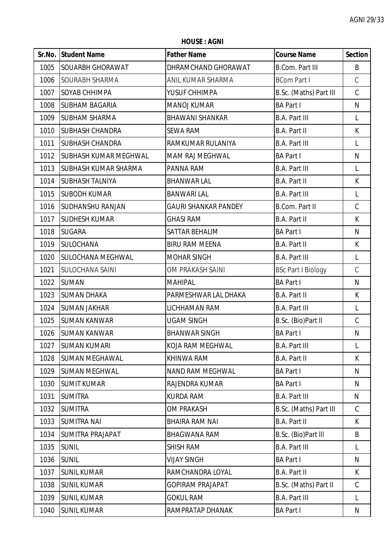**HOUSE : AGNI**

|      | Sr.No. Student Name          | <b>Father Name</b>          | <b>Course Name</b>        | <b>Section</b> |
|------|------------------------------|-----------------------------|---------------------------|----------------|
| 1005 | <b>SOUARBH GHORAWAT</b>      | DHRAMCHAND GHORAWAT         | <b>B.Com. Part III</b>    | B              |
| 1006 | <b>SOURABH SHARMA</b>        | ANIL KUMAR SHARMA           | <b>BCom Part I</b>        | $\mathsf C$    |
| 1007 | SOYAB CHHIMPA                | YUSUF CHHIMPA               | B.Sc. (Maths) Part III    | $\mathsf C$    |
| 1008 | <b>SUBHAM BAGARIA</b>        | <b>MANOJ KUMAR</b>          | <b>BA Part I</b>          | $\mathsf{N}$   |
| 1009 | <b>SUBHAM SHARMA</b>         | <b>BHAWANI SHANKAR</b>      | <b>B.A. Part III</b>      | L              |
| 1010 | <b>SUBHASH CHANDRA</b>       | <b>SEWA RAM</b>             | B.A. Part II              | K              |
| 1011 | <b>SUBHASH CHANDRA</b>       | RAMKUMAR RULANIYA           | <b>B.A. Part III</b>      | L              |
| 1012 | <b>SUBHASH KUMAR MEGHWAL</b> | MAM RAJ MEGHWAL             | <b>BA Part I</b>          | N              |
| 1013 | <b>SUBHASH KUMAR SHARMA</b>  | PANNA RAM                   | <b>B.A. Part III</b>      | L              |
| 1014 | <b>SUBHASH TALNIYA</b>       | <b>BHANWAR LAL</b>          | B.A. Part II              | $\sf K$        |
| 1015 | <b>SUBODH KUMAR</b>          | <b>BANWARI LAL</b>          | <b>B.A. Part III</b>      | L              |
| 1016 | <b>SUDHANSHU RANJAN</b>      | <b>GAURI SHANKAR PANDEY</b> | <b>B.Com. Part II</b>     | $\mathsf C$    |
| 1017 | <b>SUDHESH KUMAR</b>         | <b>GHASI RAM</b>            | B.A. Part II              | K              |
| 1018 | <b>SUGARA</b>                | SATTAR BEHALIM              | <b>BA Part I</b>          | N              |
| 1019 | <b>SULOCHANA</b>             | <b>BIRU RAM MEENA</b>       | B.A. Part II              | K              |
| 1020 | <b>SULOCHANA MEGHWAL</b>     | <b>MOHAR SINGH</b>          | <b>B.A. Part III</b>      | L              |
| 1021 | <b>SULOCHANA SAINI</b>       | OM PRAKASH SAINI            | <b>BSc Part I Biology</b> | $\mathcal{C}$  |
| 1022 | <b>SUMAN</b>                 | <b>MAHIPAL</b>              | <b>BA Part I</b>          | N              |
| 1023 | <b>SUMAN DHAKA</b>           | PARMESHWAR LAL DHAKA        | B.A. Part II              | K              |
| 1024 | <b>SUMAN JAKHAR</b>          | LICHHAMAN RAM               | <b>B.A. Part III</b>      | L              |
| 1025 | <b>SUMAN KANWAR</b>          | <b>UGAM SINGH</b>           | B.Sc. (Bio)Part II        | C              |
| 1026 | <b>SUMAN KANWAR</b>          | <b>BHANWAR SINGH</b>        | <b>BA Part I</b>          | N              |
| 1027 | <b>SUMAN KUMARI</b>          | KOJA RAM MEGHWAL            | <b>B.A. Part III</b>      | L              |
| 1028 | <b>SUMAN MEGHAWAL</b>        | KHINWA RAM                  | B.A. Part II              | K              |
| 1029 | <b>SUMAN MEGHWAL</b>         | NAND RAM MEGHWAL            | <b>BA Part I</b>          | N              |
| 1030 | <b>SUMIT KUMAR</b>           | RAJENDRA KUMAR              | <b>BA Part I</b>          | N              |
| 1031 | <b>SUMITRA</b>               | <b>KURDA RAM</b>            | <b>B.A. Part III</b>      | N              |
| 1032 | <b>SUMITRA</b>               | OM PRAKASH                  | B.Sc. (Maths) Part III    | $\mathcal{C}$  |
| 1033 | <b>SUMITRA NAI</b>           | <b>BHAIRA RAM NAI</b>       | B.A. Part II              | K              |
| 1034 | <b>SUMITRA PRAJAPAT</b>      | <b>BHAGWANA RAM</b>         | B.Sc. (Bio)Part III       | B              |
| 1035 | <b>SUNIL</b>                 | <b>SHISH RAM</b>            | <b>B.A. Part III</b>      | L              |
| 1036 | <b>SUNIL</b>                 | <b>VIJAY SINGH</b>          | <b>BA Part I</b>          | N              |
| 1037 | <b>SUNIL KUMAR</b>           | RAMCHANDRA LOYAL            | B.A. Part II              | K              |
| 1038 | <b>SUNIL KUMAR</b>           | <b>GOPIRAM PRAJAPAT</b>     | B.Sc. (Maths) Part II     | C              |
| 1039 | <b>SUNIL KUMAR</b>           | <b>GOKUL RAM</b>            | <b>B.A. Part III</b>      | L              |
| 1040 | <b>SUNIL KUMAR</b>           | RAMPRATAP DHANAK            | <b>BA Part I</b>          | N              |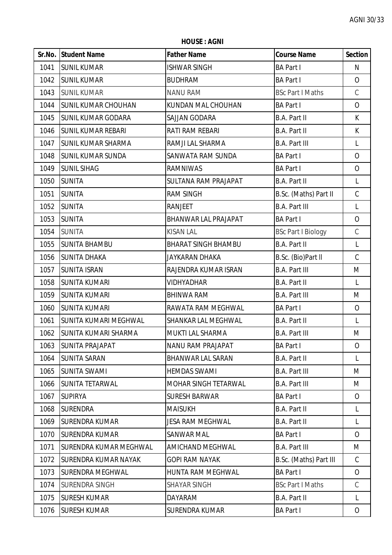**HOUSE : AGNI**

|      | Sr.No. Student Name           | <b>Father Name</b>          | <b>Course Name</b>        | <b>Section</b> |
|------|-------------------------------|-----------------------------|---------------------------|----------------|
| 1041 | <b>SUNIL KUMAR</b>            | <b>ISHWAR SINGH</b>         | <b>BA Part I</b>          | N              |
| 1042 | <b>SUNIL KUMAR</b>            | <b>BUDHRAM</b>              | <b>BA Part I</b>          | $\overline{O}$ |
| 1043 | <b>SUNIL KUMAR</b>            | <b>NANU RAM</b>             | <b>BSc Part I Maths</b>   | $\mathcal{C}$  |
| 1044 | <b>SUNIL KUMAR CHOUHAN</b>    | KUNDAN MAL CHOUHAN          | <b>BA Part I</b>          | $\overline{O}$ |
| 1045 | <b>SUNIL KUMAR GODARA</b>     | SAJJAN GODARA               | <b>B.A. Part II</b>       | $\mathsf{K}$   |
| 1046 | <b>SUNIL KUMAR REBARI</b>     | RATI RAM REBARI             | B.A. Part II              | K              |
| 1047 | <b>SUNIL KUMAR SHARMA</b>     | RAMJI LAL SHARMA            | <b>B.A. Part III</b>      | L              |
| 1048 | <b>SUNIL KUMAR SUNDA</b>      | SANWATA RAM SUNDA           | <b>BA Part I</b>          | $\overline{O}$ |
| 1049 | <b>SUNIL SIHAG</b>            | RAMNIWAS                    | <b>BA Part I</b>          | $\overline{O}$ |
| 1050 | <b>SUNITA</b>                 | <b>SULTANA RAM PRAJAPAT</b> | <b>B.A. Part II</b>       | $\mathsf{L}$   |
| 1051 | <b>SUNITA</b>                 | <b>RAM SINGH</b>            | B.Sc. (Maths) Part II     | $\mathsf C$    |
| 1052 | <b>SUNITA</b>                 | <b>RANJEET</b>              | <b>B.A. Part III</b>      | L              |
| 1053 | <b>SUNITA</b>                 | BHANWAR LAL PRAJAPAT        | <b>BA Part I</b>          | $\overline{O}$ |
| 1054 | <b>SUNITA</b>                 | <b>KISAN LAL</b>            | <b>BSc Part I Biology</b> | $\mathsf C$    |
| 1055 | <b>SUNITA BHAMBU</b>          | <b>BHARAT SINGH BHAMBU</b>  | <b>B.A. Part II</b>       | $\mathsf{L}$   |
| 1056 | <b>SUNITA DHAKA</b>           | JAYKARAN DHAKA              | B.Sc. (Bio)Part II        | $\mathsf C$    |
| 1057 | <b>SUNITA ISRAN</b>           | RAJENDRA KUMAR ISRAN        | <b>B.A. Part III</b>      | M              |
| 1058 | <b>SUNITA KUMARI</b>          | <b>VIDHYADHAR</b>           | <b>B.A. Part II</b>       | L              |
| 1059 | <b>SUNITA KUMARI</b>          | <b>BHINWA RAM</b>           | <b>B.A. Part III</b>      | M              |
| 1060 | <b>SUNITA KUMARI</b>          | RAWATA RAM MEGHWAL          | <b>BA Part I</b>          | $\overline{O}$ |
| 1061 | <b>SUNITA KUMARI MEGHWAL</b>  | SHANKAR LAL MEGHWAL         | B.A. Part II              | L              |
| 1062 | <b>SUNITA KUMARI SHARMA</b>   | MUKTI LAL SHARMA            | <b>B.A. Part III</b>      | M              |
| 1063 | <b>SUNITA PRAJAPAT</b>        | <b>NANU RAM PRAJAPAT</b>    | <b>BA Part I</b>          | $\overline{O}$ |
| 1064 | <b>SUNITA SARAN</b>           | <b>BHANWAR LAL SARAN</b>    | <b>B.A. Part II</b>       | L              |
| 1065 | <b>SUNITA SWAMI</b>           | <b>HEMDAS SWAMI</b>         | <b>B.A. Part III</b>      | M              |
| 1066 | <b>SUNITA TETARWAL</b>        | MOHAR SINGH TETARWAL        | <b>B.A. Part III</b>      | M              |
| 1067 | <b>SUPIRYA</b>                | <b>SURESH BARWAR</b>        | <b>BA Part I</b>          | $\overline{O}$ |
| 1068 | <b>SURENDRA</b>               | <b>MAISUKH</b>              | <b>B.A. Part II</b>       | L              |
| 1069 | <b>SURENDRA KUMAR</b>         | <b>JESA RAM MEGHWAL</b>     | <b>B.A. Part II</b>       | L              |
| 1070 | <b>SURENDRA KUMAR</b>         | <b>SANWAR MAL</b>           | <b>BA Part I</b>          | $\overline{O}$ |
| 1071 | <b>SURENDRA KUMAR MEGHWAL</b> | AMICHAND MEGHWAL            | <b>B.A. Part III</b>      | M              |
| 1072 | <b>SURENDRA KUMAR NAYAK</b>   | <b>GOPI RAM NAYAK</b>       | B.Sc. (Maths) Part III    | $\mathsf C$    |
| 1073 | <b>SURENDRA MEGHWAL</b>       | HUNTA RAM MEGHWAL           | <b>BA Part I</b>          | 0              |
| 1074 | <b>SURENDRA SINGH</b>         | <b>SHAYAR SINGH</b>         | <b>BSc Part I Maths</b>   | $\mathcal{C}$  |
| 1075 | <b>SURESH KUMAR</b>           | <b>DAYARAM</b>              | <b>B.A. Part II</b>       | L              |
| 1076 | <b>SURESH KUMAR</b>           | <b>SURENDRA KUMAR</b>       | <b>BA Part I</b>          | $\overline{O}$ |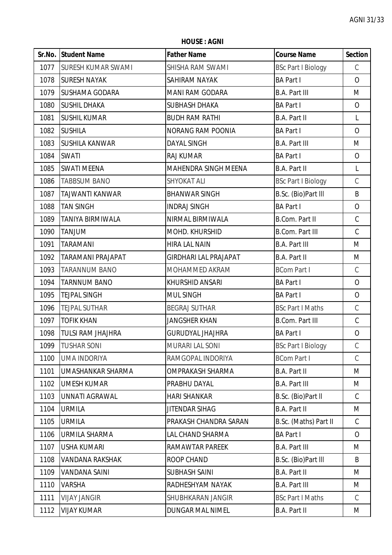**HOUSE : AGNI**

|      | Sr.No. Student Name       | <b>Father Name</b>           | <b>Course Name</b>        | <b>Section</b> |
|------|---------------------------|------------------------------|---------------------------|----------------|
| 1077 | <b>SURESH KUMAR SWAMI</b> | SHISHA RAM SWAMI             | <b>BSc Part I Biology</b> | $\mathcal{C}$  |
| 1078 | <b>SURESH NAYAK</b>       | SAHIRAM NAYAK                | <b>BA Part I</b>          | $\overline{O}$ |
| 1079 | <b>SUSHAMA GODARA</b>     | MANI RAM GODARA              | <b>B.A. Part III</b>      | M              |
| 1080 | <b>SUSHIL DHAKA</b>       | <b>SUBHASH DHAKA</b>         | <b>BA Part I</b>          | $\overline{O}$ |
| 1081 | <b>SUSHIL KUMAR</b>       | <b>BUDH RAM RATHI</b>        | B.A. Part II              | L              |
| 1082 | <b>SUSHILA</b>            | NORANG RAM POONIA            | <b>BA Part I</b>          | $\overline{O}$ |
| 1083 | <b>SUSHILA KANWAR</b>     | <b>DAYAL SINGH</b>           | <b>B.A. Part III</b>      | M              |
| 1084 | <b>SWATI</b>              | <b>RAJ KUMAR</b>             | <b>BA Part I</b>          | $\overline{O}$ |
| 1085 | <b>SWATI MEENA</b>        | MAHENDRA SINGH MEENA         | <b>B.A. Part II</b>       | L              |
| 1086 | <b>TABBSUM BANO</b>       | <b>SHYOKAT ALI</b>           | <b>BSc Part I Biology</b> | $\mathsf C$    |
| 1087 | <b>TAJWANTI KANWAR</b>    | <b>BHANWAR SINGH</b>         | B.Sc. (Bio)Part III       | B              |
| 1088 | <b>TAN SINGH</b>          | <b>INDRAJ SINGH</b>          | <b>BA Part I</b>          | $\overline{O}$ |
| 1089 | <b>TANIYA BIRMIWALA</b>   | NIRMAL BIRMIWALA             | B.Com. Part II            | $\mathsf C$    |
| 1090 | <b>TANJUM</b>             | MOHD. KHURSHID               | <b>B.Com. Part III</b>    | $\mathsf C$    |
| 1091 | <b>TARAMANI</b>           | <b>HIRA LAL NAIN</b>         | <b>B.A. Part III</b>      | M              |
| 1092 | <b>TARAMANI PRAJAPAT</b>  | <b>GIRDHARI LAL PRAJAPAT</b> | <b>B.A. Part II</b>       | M              |
| 1093 | <b>TARANNUM BANO</b>      | MOHAMMED AKRAM               | <b>BCom Part I</b>        | $\mathsf C$    |
| 1094 | <b>TARNNUM BANO</b>       | KHURSHID ANSARI              | <b>BA Part I</b>          | $\overline{O}$ |
| 1095 | <b>TEJPAL SINGH</b>       | <b>MUL SINGH</b>             | <b>BA Part I</b>          | $\overline{O}$ |
| 1096 | <b>TEJPAL SUTHAR</b>      | <b>BEGRAJ SUTHAR</b>         | <b>BSc Part I Maths</b>   | $\mathsf C$    |
| 1097 | <b>TOFIK KHAN</b>         | JANGSHER KHAN                | <b>B.Com. Part III</b>    | $\mathsf C$    |
| 1098 | <b>TULSI RAM JHAJHRA</b>  | <b>GURUDYAL JHAJHRA</b>      | <b>BA Part I</b>          | $\mathbf{O}$   |
| 1099 | <b>TUSHAR SONI</b>        | <b>MURARI LAL SONI</b>       | <b>BSc Part I Biology</b> | C              |
| 1100 | <b>UMA INDORIYA</b>       | RAMGOPAL INDORIYA            | <b>BCom Part I</b>        | $\mathcal{C}$  |
| 1101 | UMASHANKAR SHARMA         | OMPRAKASH SHARMA             | <b>B.A. Part II</b>       | M              |
| 1102 | <b>UMESH KUMAR</b>        | PRABHU DAYAL                 | <b>B.A. Part III</b>      | M              |
| 1103 | UNNATI AGRAWAL            | <b>HARI SHANKAR</b>          | B.Sc. (Bio)Part II        | $\mathsf{C}$   |
| 1104 | <b>URMILA</b>             | JITENDAR SIHAG               | <b>B.A. Part II</b>       | M              |
| 1105 | <b>URMILA</b>             | PRAKASH CHANDRA SARAN        | B.Sc. (Maths) Part II     | $\mathsf C$    |
| 1106 | <b>URMILA SHARMA</b>      | LAL CHAND SHARMA             | <b>BA Part I</b>          | $\overline{O}$ |
| 1107 | <b>USHA KUMARI</b>        | RAMAWTAR PAREEK              | <b>B.A. Part III</b>      | M              |
| 1108 | <b>VANDANA RAKSHAK</b>    | ROOP CHAND                   | B.Sc. (Bio)Part III       | B              |
| 1109 | VANDANA SAINI             | <b>SUBHASH SAINI</b>         | <b>B.A. Part II</b>       | M              |
| 1110 | <b>VARSHA</b>             | RADHESHYAM NAYAK             | <b>B.A. Part III</b>      | M              |
| 1111 | <b>VIJAY JANGIR</b>       | SHUBHKARAN JANGIR            | <b>BSc Part I Maths</b>   | $\mathcal{C}$  |
| 1112 | <b>VIJAY KUMAR</b>        | DUNGAR MAL NIMEL             | <b>B.A. Part II</b>       | Μ              |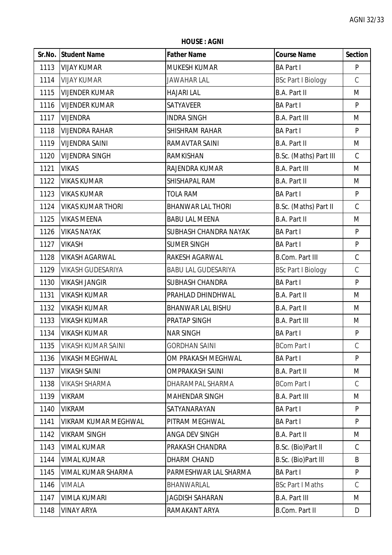**HOUSE : AGNI**

|      | Sr.No. Student Name         | <b>Father Name</b>         | <b>Course Name</b>        | <b>Section</b> |
|------|-----------------------------|----------------------------|---------------------------|----------------|
| 1113 | <b>VIJAY KUMAR</b>          | <b>MUKESH KUMAR</b>        | <b>BA Part I</b>          | P              |
| 1114 | <b>VIJAY KUMAR</b>          | <b>JAWAHAR LAL</b>         | <b>BSc Part I Biology</b> | $\mathsf C$    |
| 1115 | <b>VIJENDER KUMAR</b>       | <b>HAJARI LAL</b>          | <b>B.A. Part II</b>       | M              |
| 1116 | <b>VIJENDER KUMAR</b>       | SATYAVEER                  | <b>BA Part I</b>          | P              |
| 1117 | <b>VIJENDRA</b>             | <b>INDRA SINGH</b>         | <b>B.A. Part III</b>      | M              |
| 1118 | <b>VIJENDRA RAHAR</b>       | <b>SHISHRAM RAHAR</b>      | <b>BA Part I</b>          | P              |
| 1119 | <b>VIJENDRA SAINI</b>       | RAMAVTAR SAINI             | <b>B.A. Part II</b>       | M              |
| 1120 | <b>VIJENDRA SINGH</b>       | RAMKISHAN                  | B.Sc. (Maths) Part III    | C              |
| 1121 | <b>VIKAS</b>                | RAJENDRA KUMAR             | <b>B.A. Part III</b>      | M              |
| 1122 | <b>VIKAS KUMAR</b>          | SHISHAPAL RAM              | <b>B.A. Part II</b>       | M              |
| 1123 | <b>VIKAS KUMAR</b>          | <b>TOLA RAM</b>            | <b>BA Part I</b>          | P              |
| 1124 | <b>VIKAS KUMAR THORI</b>    | <b>BHANWAR LAL THORI</b>   | B.Sc. (Maths) Part II     | $\mathsf C$    |
| 1125 | <b>VIKAS MEENA</b>          | <b>BABU LAL MEENA</b>      | <b>B.A. Part II</b>       | M              |
| 1126 | <b>VIKAS NAYAK</b>          | SUBHASH CHANDRA NAYAK      | <b>BA Part I</b>          | P              |
| 1127 | <b>VIKASH</b>               | <b>SUMER SINGH</b>         | <b>BA Part I</b>          | P              |
| 1128 | <b>VIKASH AGARWAL</b>       | RAKESH AGARWAL             | <b>B.Com. Part III</b>    | $\mathsf C$    |
| 1129 | <b>VIKASH GUDESARIYA</b>    | <b>BABU LAL GUDESARIYA</b> | <b>BSc Part I Biology</b> | $\mathsf C$    |
| 1130 | <b>VIKASH JANGIR</b>        | <b>SUBHASH CHANDRA</b>     | <b>BA Part I</b>          | P              |
| 1131 | <b>VIKASH KUMAR</b>         | PRAHLAD DHINDHWAL          | <b>B.A. Part II</b>       | M              |
| 1132 | <b>VIKASH KUMAR</b>         | <b>BHANWAR LAL BISHU</b>   | <b>B.A. Part II</b>       | M              |
| 1133 | <b>VIKASH KUMAR</b>         | PRATAP SINGH               | <b>B.A. Part III</b>      | M              |
| 1134 | <b>VIKASH KUMAR</b>         | <b>NAR SINGH</b>           | <b>BA Part I</b>          | P              |
| 1135 | <b>VIKASH KUMAR SAINI</b>   | <b>GORDHAN SAINI</b>       | <b>BCom Part I</b>        | C              |
| 1136 | <b>VIKASH MEGHWAL</b>       | OM PRAKASH MEGHWAL         | <b>BA Part I</b>          | P              |
| 1137 | <b>VIKASH SAINI</b>         | <b>OMPRAKASH SAINI</b>     | <b>B.A. Part II</b>       | M              |
| 1138 | <b>VIKASH SHARMA</b>        | DHARAMPAL SHARMA           | <b>BCom Part I</b>        | $\mathsf C$    |
| 1139 | <b>VIKRAM</b>               | <b>MAHENDAR SINGH</b>      | <b>B.A. Part III</b>      | M              |
| 1140 | <b>VIKRAM</b>               | SATYANARAYAN               | <b>BA Part I</b>          | P              |
| 1141 | <b>VIKRAM KUMAR MEGHWAL</b> | PITRAM MEGHWAL             | <b>BA Part I</b>          | P              |
| 1142 | <b>VIKRAM SINGH</b>         | ANGA DEV SINGH             | <b>B.A. Part II</b>       | M              |
| 1143 | <b>VIMAL KUMAR</b>          | PRAKASH CHANDRA            | B.Sc. (Bio)Part II        | C              |
| 1144 | <b>VIMAL KUMAR</b>          | DHARM CHAND                | B.Sc. (Bio)Part III       | B              |
| 1145 | VIMAL KUMAR SHARMA          | PARMESHWAR LAL SHARMA      | <b>BA Part I</b>          | P              |
| 1146 | <b>VIMALA</b>               | BHANWARLAL                 | <b>BSc Part I Maths</b>   | $\mathsf{C}$   |
| 1147 | <b>VIMLA KUMARI</b>         | <b>JAGDISH SAHARAN</b>     | <b>B.A. Part III</b>      | M              |
| 1148 | <b>VINAY ARYA</b>           | RAMAKANT ARYA              | <b>B.Com. Part II</b>     | D              |